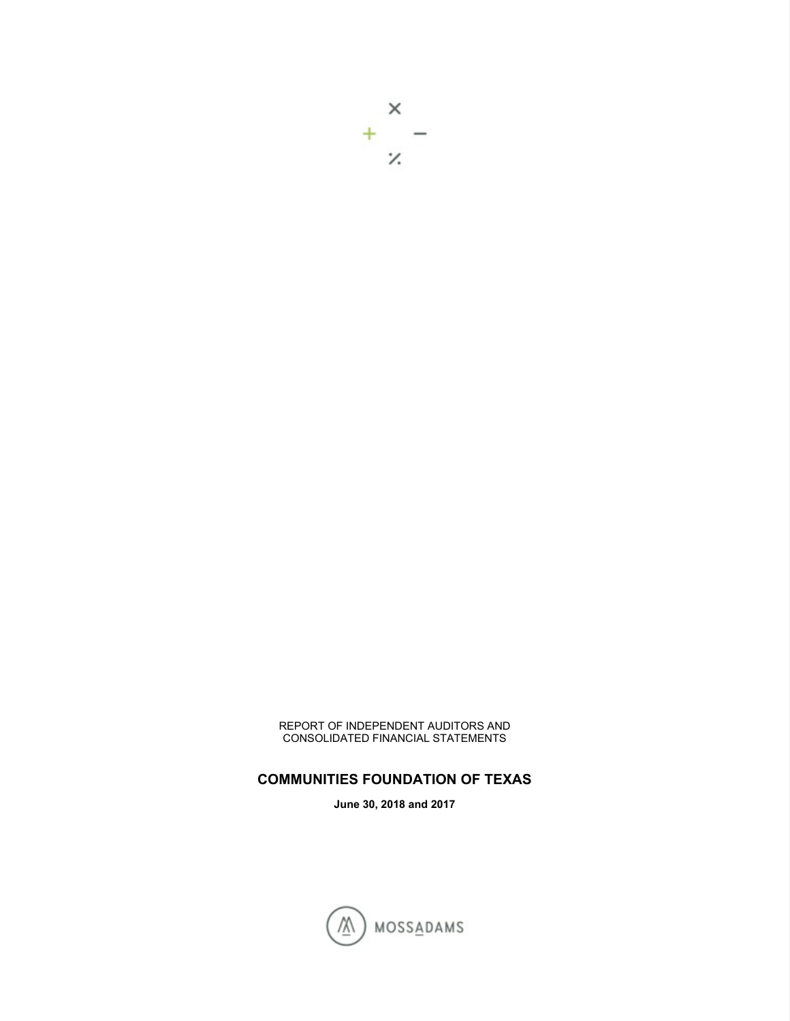$\times$  $+$   $\mathcal{V}$ 

REPORT OF INDEPENDENT AUDITORS AND CONSOLIDATED FINANCIAL STATEMENTS

**COMMUNITIES FOUNDATION OF TEXAS** 

**June 30, 2018 and 2017** 

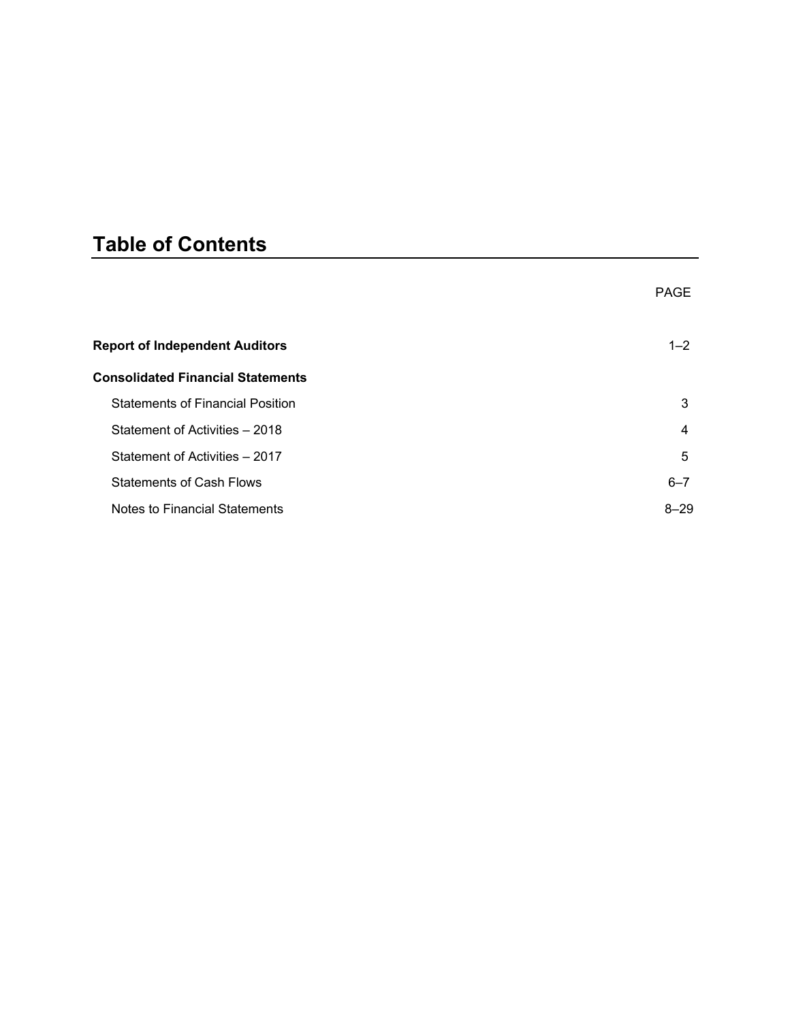# **Table of Contents**

|                                          | <b>PAGE</b> |
|------------------------------------------|-------------|
| <b>Report of Independent Auditors</b>    | $1 - 2$     |
| <b>Consolidated Financial Statements</b> |             |
| <b>Statements of Financial Position</b>  | 3           |
| Statement of Activities - 2018           | 4           |
| Statement of Activities - 2017           | 5           |
| <b>Statements of Cash Flows</b>          | $6 - 7$     |
| Notes to Financial Statements            | $8 - 29$    |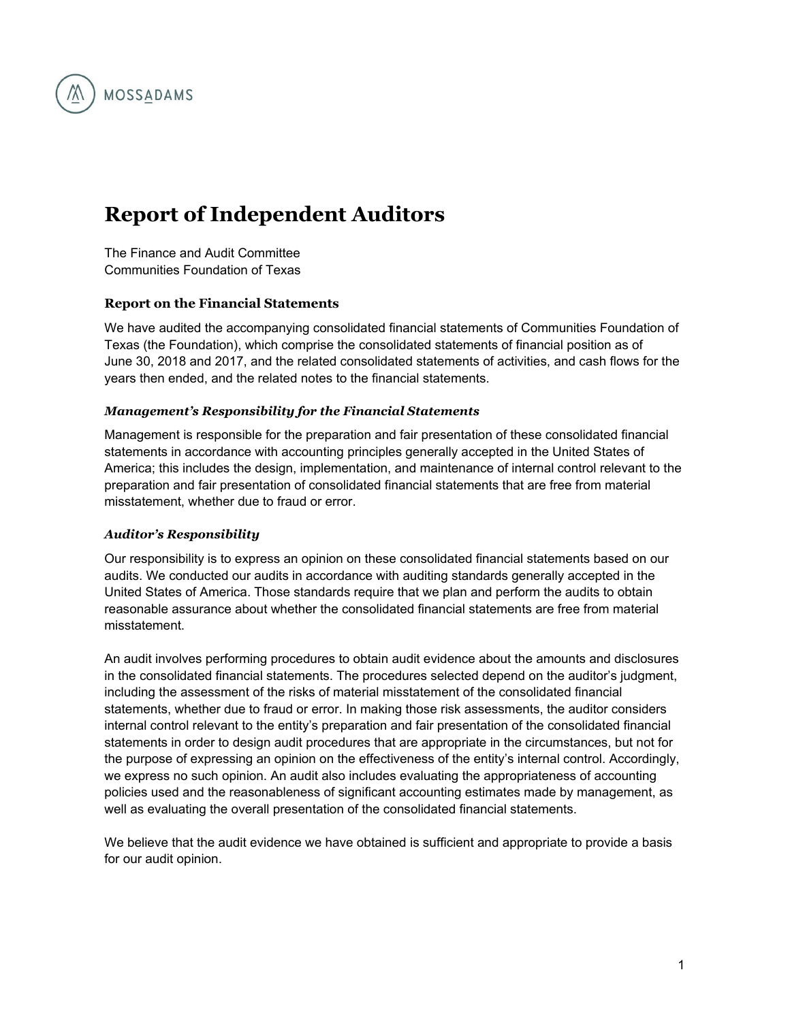

# **Report of Independent Auditors**

The Finance and Audit Committee Communities Foundation of Texas

#### **Report on the Financial Statements**

We have audited the accompanying consolidated financial statements of Communities Foundation of Texas (the Foundation), which comprise the consolidated statements of financial position as of June 30, 2018 and 2017, and the related consolidated statements of activities, and cash flows for the years then ended, and the related notes to the financial statements.

#### *Management's Responsibility for the Financial Statements*

Management is responsible for the preparation and fair presentation of these consolidated financial statements in accordance with accounting principles generally accepted in the United States of America; this includes the design, implementation, and maintenance of internal control relevant to the preparation and fair presentation of consolidated financial statements that are free from material misstatement, whether due to fraud or error.

#### *Auditor's Responsibility*

Our responsibility is to express an opinion on these consolidated financial statements based on our audits. We conducted our audits in accordance with auditing standards generally accepted in the United States of America. Those standards require that we plan and perform the audits to obtain reasonable assurance about whether the consolidated financial statements are free from material misstatement.

An audit involves performing procedures to obtain audit evidence about the amounts and disclosures in the consolidated financial statements. The procedures selected depend on the auditor's judgment, including the assessment of the risks of material misstatement of the consolidated financial statements, whether due to fraud or error. In making those risk assessments, the auditor considers internal control relevant to the entity's preparation and fair presentation of the consolidated financial statements in order to design audit procedures that are appropriate in the circumstances, but not for the purpose of expressing an opinion on the effectiveness of the entity's internal control. Accordingly, we express no such opinion. An audit also includes evaluating the appropriateness of accounting policies used and the reasonableness of significant accounting estimates made by management, as well as evaluating the overall presentation of the consolidated financial statements.

We believe that the audit evidence we have obtained is sufficient and appropriate to provide a basis for our audit opinion.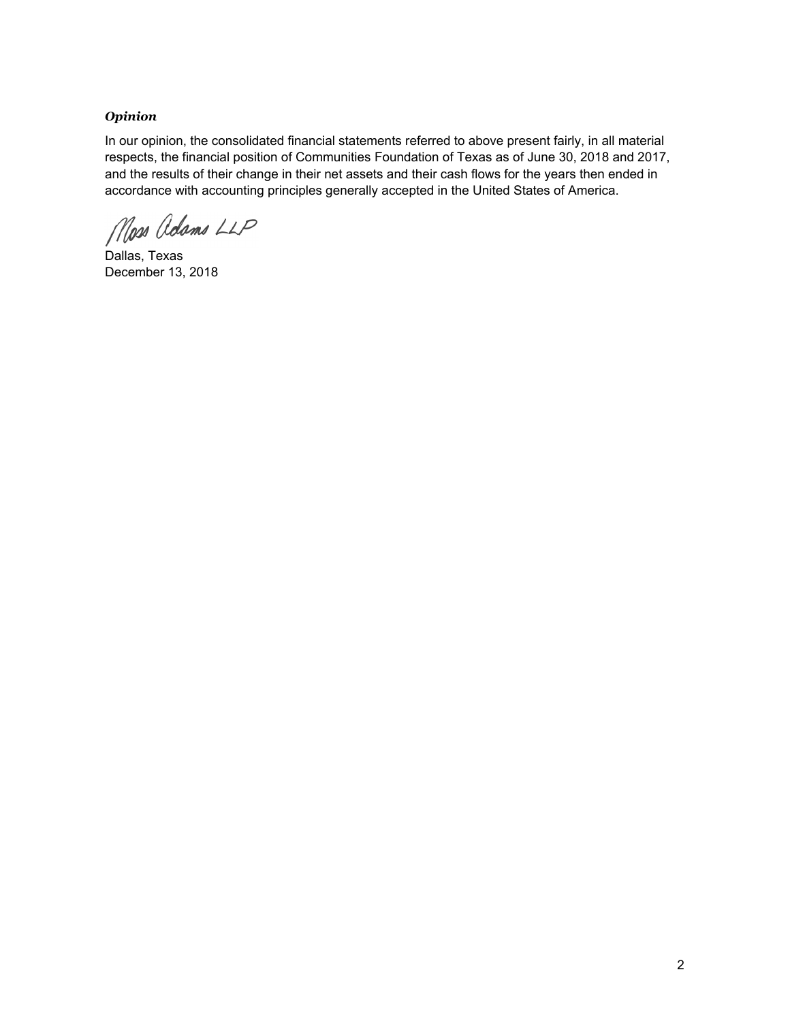#### *Opinion*

In our opinion, the consolidated financial statements referred to above present fairly, in all material respects, the financial position of Communities Foundation of Texas as of June 30, 2018 and 2017, and the results of their change in their net assets and their cash flows for the years then ended in accordance with accounting principles generally accepted in the United States of America.

Moss Adams LLP

Dallas, Texas December 13, 2018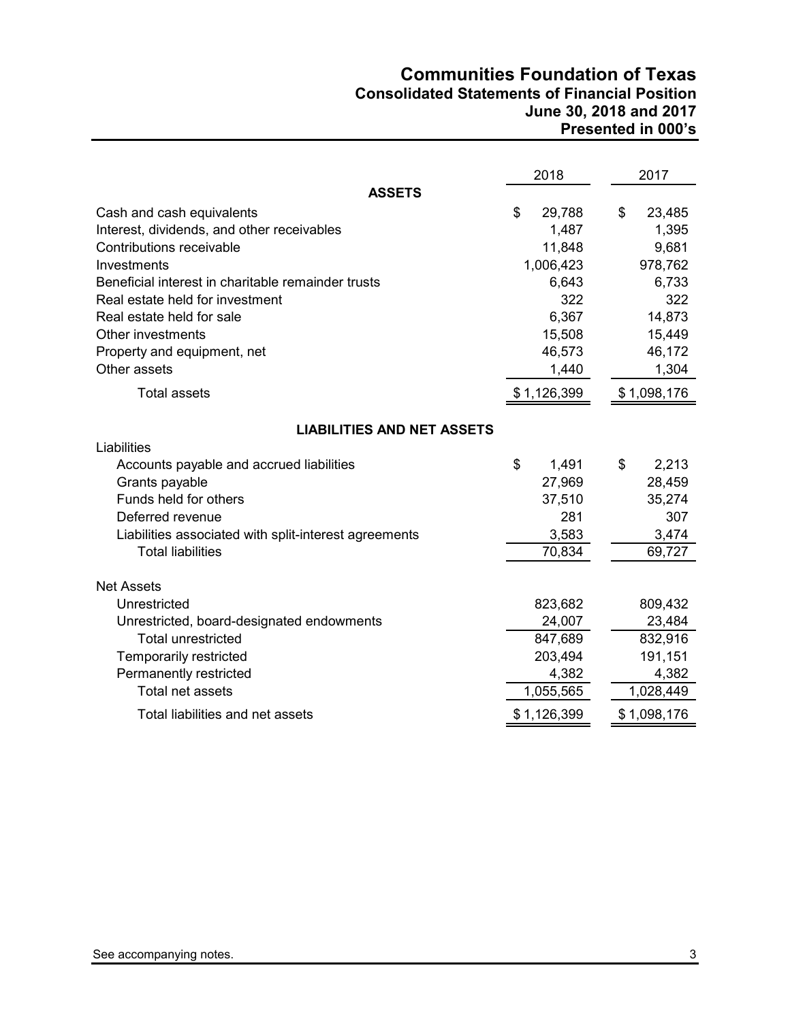## **Communities Foundation of Texas Consolidated Statements of Financial Position June 30, 2018 and 2017 Presented in 000's**

|                                                       | 2018         | 2017         |
|-------------------------------------------------------|--------------|--------------|
| <b>ASSETS</b>                                         |              |              |
| Cash and cash equivalents                             | \$<br>29,788 | \$<br>23,485 |
| Interest, dividends, and other receivables            | 1,487        | 1,395        |
| Contributions receivable                              | 11,848       | 9,681        |
| Investments                                           | 1,006,423    | 978,762      |
| Beneficial interest in charitable remainder trusts    | 6,643        | 6,733        |
| Real estate held for investment                       | 322          | 322          |
| Real estate held for sale                             | 6,367        | 14,873       |
| Other investments                                     | 15,508       | 15,449       |
| Property and equipment, net                           | 46,573       | 46,172       |
| Other assets                                          | 1,440        | 1,304        |
| <b>Total assets</b>                                   | \$1,126,399  | \$1,098,176  |
| <b>LIABILITIES AND NET ASSETS</b>                     |              |              |
| Liabilities                                           |              |              |
| Accounts payable and accrued liabilities              | \$<br>1,491  | \$<br>2,213  |
| Grants payable                                        | 27,969       | 28,459       |
| Funds held for others                                 | 37,510       | 35,274       |
| Deferred revenue                                      | 281          | 307          |
| Liabilities associated with split-interest agreements | 3,583        | 3,474        |
| <b>Total liabilities</b>                              | 70,834       | 69,727       |
|                                                       |              |              |
| <b>Net Assets</b>                                     |              |              |
| Unrestricted                                          | 823,682      | 809,432      |
| Unrestricted, board-designated endowments             | 24,007       | 23,484       |
| <b>Total unrestricted</b>                             | 847,689      | 832,916      |
| Temporarily restricted                                | 203,494      | 191,151      |
| Permanently restricted                                | 4,382        | 4,382        |
| Total net assets                                      | 1,055,565    | 1,028,449    |
| Total liabilities and net assets                      | \$1,126,399  | \$1,098,176  |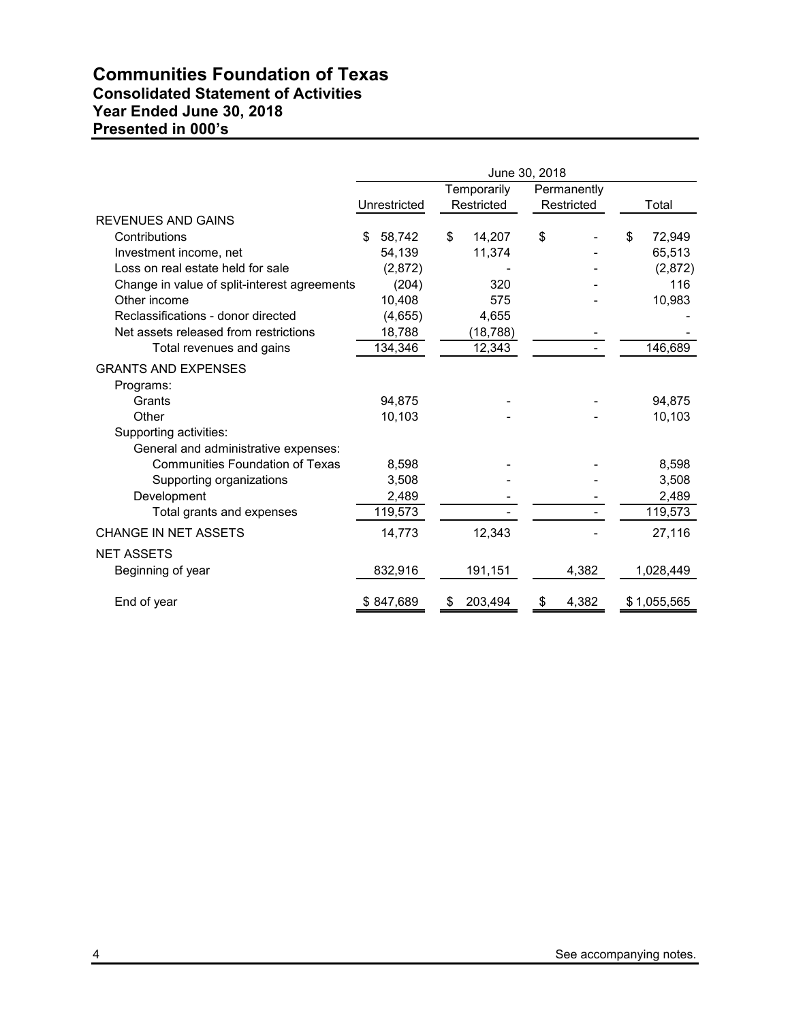# **Communities Foundation of Texas Consolidated Statement of Activities Year Ended June 30, 2018 Presented in 000's**

|                                              | June 30, 2018 |              |    |             |    |             |    |             |
|----------------------------------------------|---------------|--------------|----|-------------|----|-------------|----|-------------|
|                                              |               |              |    | Temporarily |    | Permanently |    |             |
|                                              |               | Unrestricted |    | Restricted  |    | Restricted  |    | Total       |
| <b>REVENUES AND GAINS</b>                    |               |              |    |             |    |             |    |             |
| Contributions                                | \$            | 58,742       | \$ | 14,207      | \$ |             | \$ | 72,949      |
| Investment income, net                       |               | 54,139       |    | 11,374      |    |             |    | 65,513      |
| Loss on real estate held for sale            |               | (2,872)      |    |             |    |             |    | (2,872)     |
| Change in value of split-interest agreements |               | (204)        |    | 320         |    |             |    | 116         |
| Other income                                 |               | 10,408       |    | 575         |    |             |    | 10,983      |
| Reclassifications - donor directed           |               | (4,655)      |    | 4,655       |    |             |    |             |
| Net assets released from restrictions        |               | 18,788       |    | (18, 788)   |    |             |    |             |
| Total revenues and gains                     |               | 134,346      |    | 12,343      |    |             |    | 146,689     |
| <b>GRANTS AND EXPENSES</b>                   |               |              |    |             |    |             |    |             |
| Programs:                                    |               |              |    |             |    |             |    |             |
| Grants                                       |               | 94.875       |    |             |    |             |    | 94,875      |
| Other                                        |               | 10,103       |    |             |    |             |    | 10,103      |
| Supporting activities:                       |               |              |    |             |    |             |    |             |
| General and administrative expenses:         |               |              |    |             |    |             |    |             |
| <b>Communities Foundation of Texas</b>       |               | 8.598        |    |             |    |             |    | 8,598       |
| Supporting organizations                     |               | 3,508        |    |             |    |             |    | 3,508       |
| Development                                  |               | 2,489        |    |             |    |             |    | 2,489       |
| Total grants and expenses                    |               | 119,573      |    |             |    |             |    | 119,573     |
| <b>CHANGE IN NET ASSETS</b>                  |               | 14,773       |    | 12,343      |    |             |    | 27,116      |
| <b>NET ASSETS</b>                            |               |              |    |             |    |             |    |             |
| Beginning of year                            |               | 832,916      |    | 191,151     |    | 4,382       |    | 1,028,449   |
| End of year                                  |               | \$847,689    |    | 203,494     | S  | 4,382       |    | \$1,055,565 |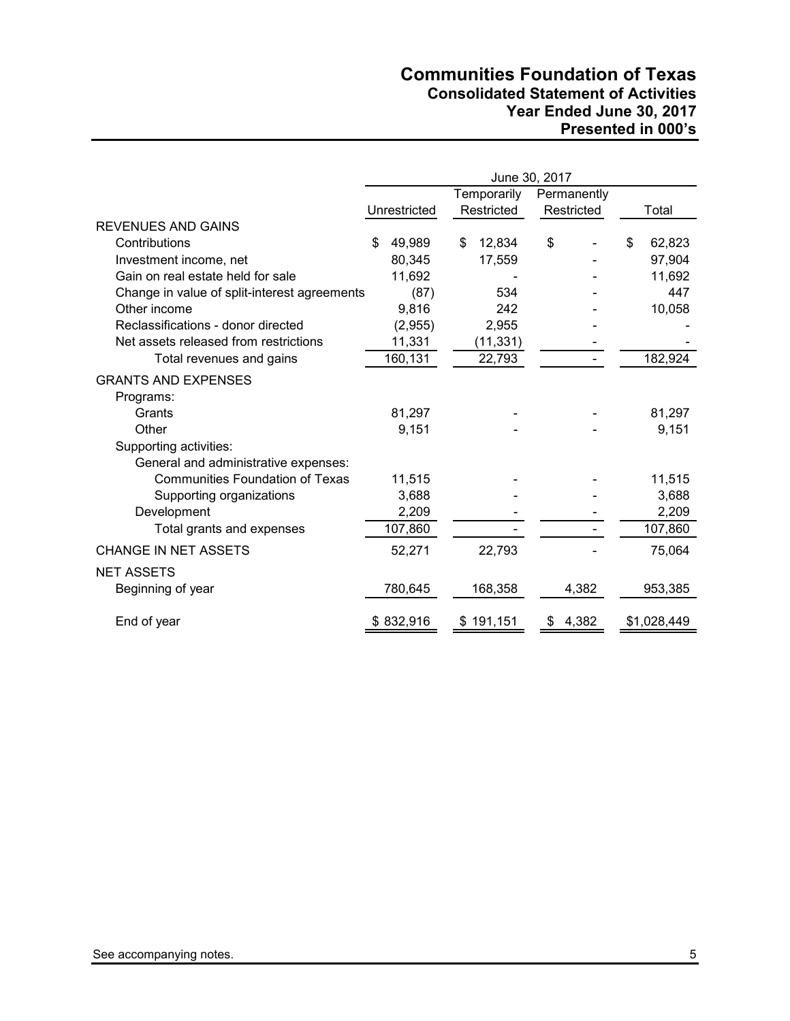# **Communities Foundation of Texas Consolidated Statement of Activities Year Ended June 30, 2017 Presented in 000's**

|                                              | June 30, 2017 |              |             |            |             |            |    |             |
|----------------------------------------------|---------------|--------------|-------------|------------|-------------|------------|----|-------------|
|                                              |               |              | Temporarily |            | Permanently |            |    |             |
|                                              |               | Unrestricted |             | Restricted |             | Restricted |    | Total       |
| <b>REVENUES AND GAINS</b>                    |               |              |             |            |             |            |    |             |
| Contributions                                | S             | 49,989       | \$          | 12,834     | \$          |            | \$ | 62,823      |
| Investment income, net                       |               | 80,345       |             | 17,559     |             |            |    | 97,904      |
| Gain on real estate held for sale            |               | 11,692       |             |            |             |            |    | 11,692      |
| Change in value of split-interest agreements |               | (87)         |             | 534        |             |            |    | 447         |
| Other income                                 |               | 9,816        |             | 242        |             |            |    | 10,058      |
| Reclassifications - donor directed           |               | (2,955)      |             | 2,955      |             |            |    |             |
| Net assets released from restrictions        |               | 11,331       |             | (11, 331)  |             |            |    |             |
| Total revenues and gains                     |               | 160,131      |             | 22,793     |             |            |    | 182,924     |
| <b>GRANTS AND EXPENSES</b>                   |               |              |             |            |             |            |    |             |
| Programs:                                    |               |              |             |            |             |            |    |             |
| Grants                                       |               | 81,297       |             |            |             |            |    | 81,297      |
| Other                                        |               | 9,151        |             |            |             |            |    | 9,151       |
| Supporting activities:                       |               |              |             |            |             |            |    |             |
| General and administrative expenses:         |               |              |             |            |             |            |    |             |
| <b>Communities Foundation of Texas</b>       |               | 11,515       |             |            |             |            |    | 11,515      |
| Supporting organizations                     |               | 3,688        |             |            |             |            |    | 3,688       |
| Development                                  |               | 2,209        |             |            |             |            |    | 2,209       |
| Total grants and expenses                    |               | 107,860      |             |            |             |            |    | 107,860     |
| CHANGE IN NET ASSETS                         |               | 52,271       |             | 22,793     |             |            |    | 75,064      |
| <b>NET ASSETS</b>                            |               |              |             |            |             |            |    |             |
| Beginning of year                            |               | 780,645      |             | 168,358    |             | 4,382      |    | 953,385     |
| End of year                                  |               | \$832,916    |             | \$191,151  | \$          | 4,382      |    | \$1,028,449 |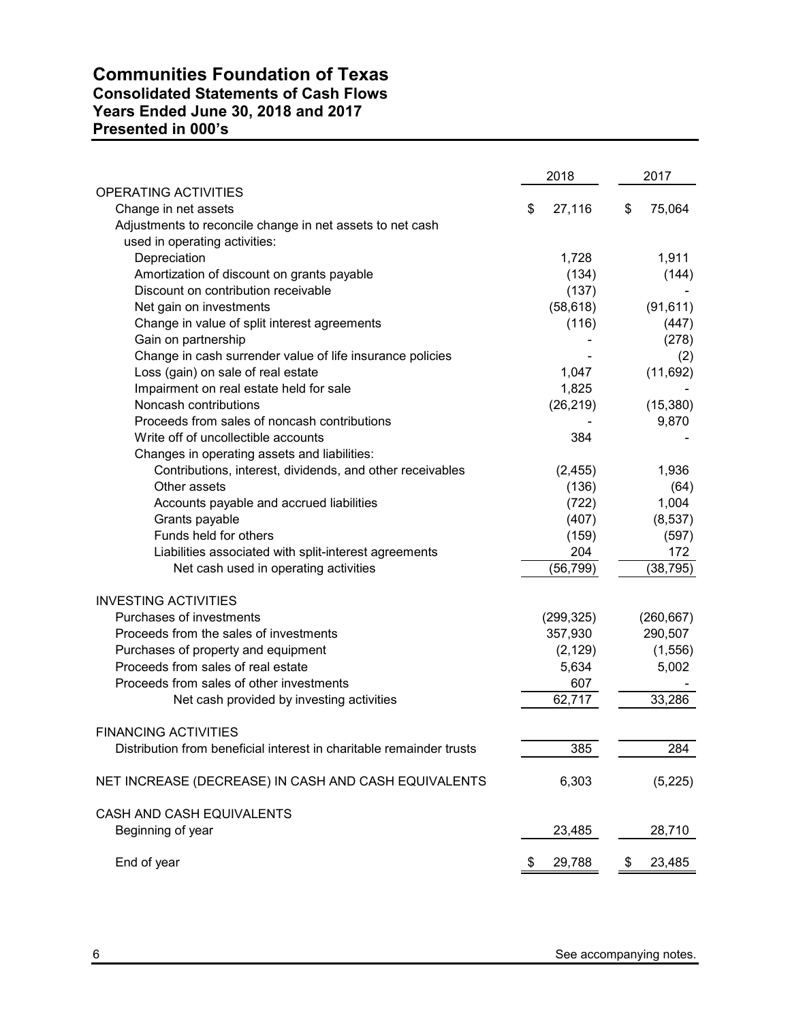# **Communities Foundation of Texas Consolidated Statements of Cash Flows Years Ended June 30, 2018 and 2017 Presented in 000's**

|                                                                      | 2018         | 2017         |
|----------------------------------------------------------------------|--------------|--------------|
| <b>OPERATING ACTIVITIES</b>                                          |              |              |
| Change in net assets                                                 | \$<br>27,116 | \$<br>75,064 |
| Adjustments to reconcile change in net assets to net cash            |              |              |
| used in operating activities:                                        |              |              |
| Depreciation                                                         | 1,728        | 1,911        |
| Amortization of discount on grants payable                           | (134)        | (144)        |
| Discount on contribution receivable                                  | (137)        |              |
| Net gain on investments                                              | (58, 618)    | (91, 611)    |
| Change in value of split interest agreements                         | (116)        | (447)        |
| Gain on partnership                                                  |              | (278)        |
| Change in cash surrender value of life insurance policies            |              | (2)          |
| Loss (gain) on sale of real estate                                   | 1,047        | (11, 692)    |
| Impairment on real estate held for sale<br>Noncash contributions     | 1,825        |              |
| Proceeds from sales of noncash contributions                         | (26, 219)    | (15, 380)    |
| Write off of uncollectible accounts                                  | 384          | 9,870        |
| Changes in operating assets and liabilities:                         |              |              |
| Contributions, interest, dividends, and other receivables            | (2, 455)     | 1,936        |
| Other assets                                                         | (136)        | (64)         |
| Accounts payable and accrued liabilities                             | (722)        | 1,004        |
| Grants payable                                                       | (407)        | (8, 537)     |
| Funds held for others                                                | (159)        | (597)        |
| Liabilities associated with split-interest agreements                | 204          | 172          |
| Net cash used in operating activities                                | (56, 799)    | (38, 795)    |
|                                                                      |              |              |
| <b>INVESTING ACTIVITIES</b>                                          |              |              |
| Purchases of investments                                             | (299, 325)   | (260, 667)   |
| Proceeds from the sales of investments                               | 357,930      | 290,507      |
| Purchases of property and equipment                                  | (2, 129)     | (1, 556)     |
| Proceeds from sales of real estate                                   | 5,634        | 5,002        |
| Proceeds from sales of other investments                             | 607          |              |
| Net cash provided by investing activities                            | 62,717       | 33,286       |
| <b>FINANCING ACTIVITIES</b>                                          |              |              |
| Distribution from beneficial interest in charitable remainder trusts | 385          | 284          |
| NET INCREASE (DECREASE) IN CASH AND CASH EQUIVALENTS                 | 6,303        | (5, 225)     |
| CASH AND CASH EQUIVALENTS                                            |              |              |
| Beginning of year                                                    | 23,485       | 28,710       |
| End of year                                                          | \$<br>29,788 | \$<br>23,485 |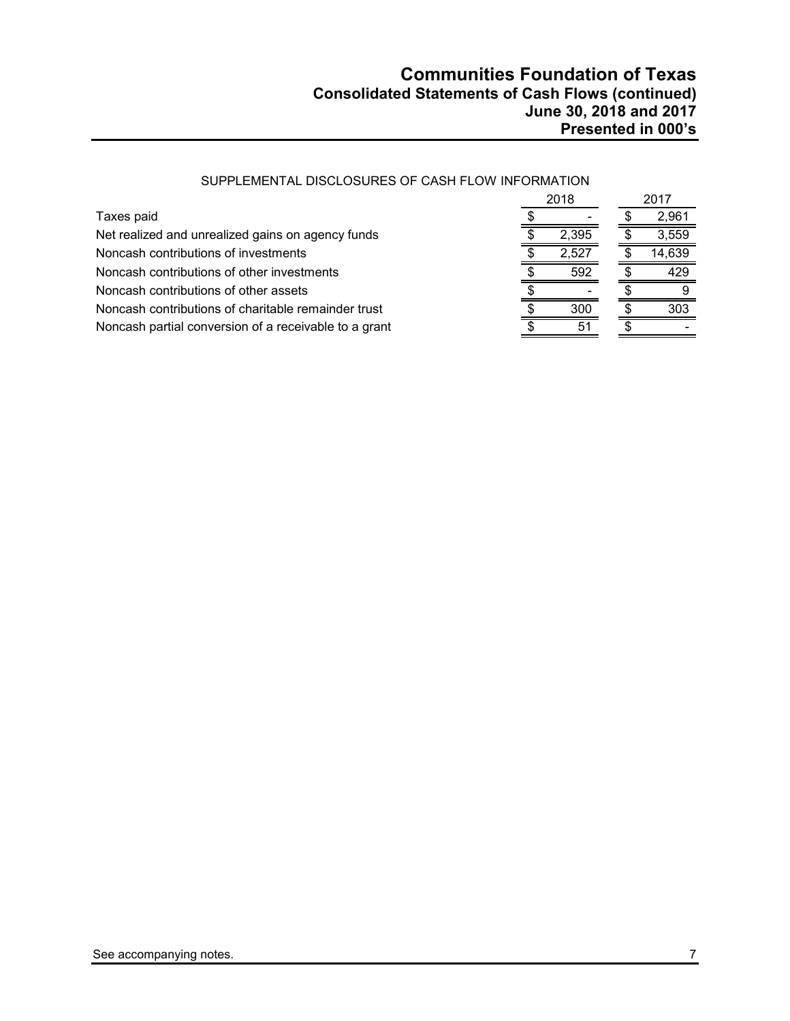|                                                       | 2018 |       |  | 2017   |
|-------------------------------------------------------|------|-------|--|--------|
| Taxes paid                                            |      |       |  | 2.961  |
| Net realized and unrealized gains on agency funds     |      | 2,395 |  | 3,559  |
| Noncash contributions of investments                  |      | 2.527 |  | 14,639 |
| Noncash contributions of other investments            |      | 592   |  | 429    |
| Noncash contributions of other assets                 |      |       |  |        |
| Noncash contributions of charitable remainder trust   |      | 300   |  | 303    |
| Noncash partial conversion of a receivable to a grant |      | 51    |  |        |

#### SUPPLEMENTAL DISCLOSURES OF CASH FLOW INFORMATION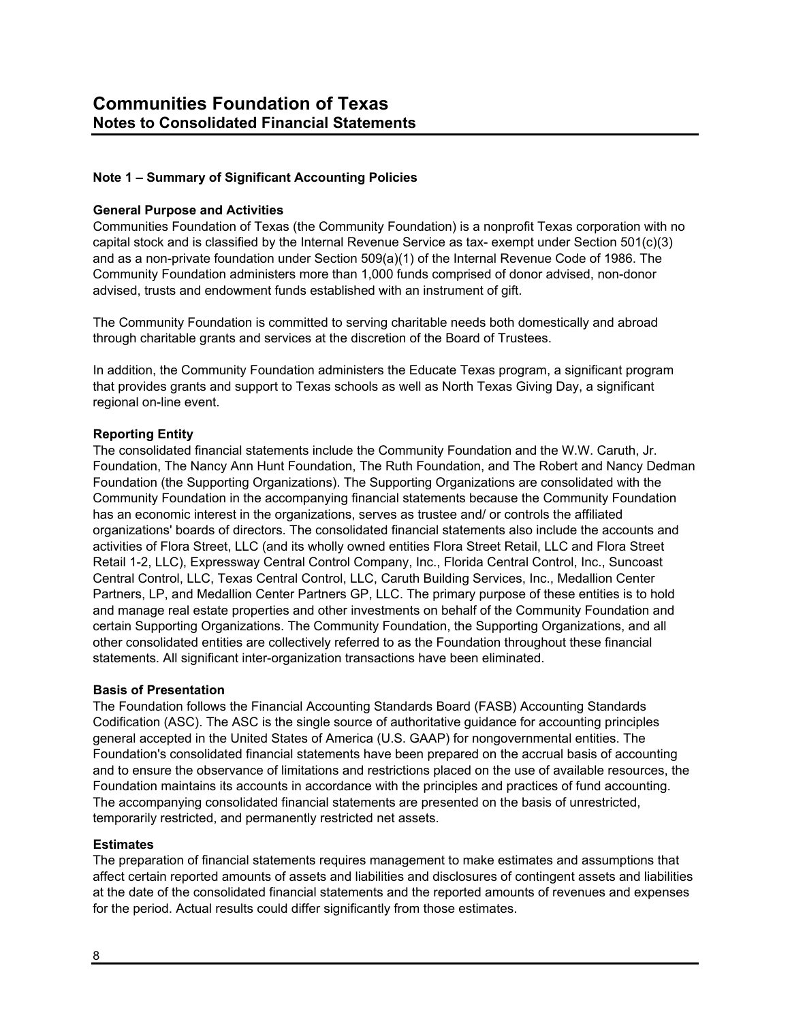## **Note 1 – Summary of Significant Accounting Policies**

#### **General Purpose and Activities**

Communities Foundation of Texas (the Community Foundation) is a nonprofit Texas corporation with no capital stock and is classified by the Internal Revenue Service as tax- exempt under Section 501(c)(3) and as a non-private foundation under Section 509(a)(1) of the Internal Revenue Code of 1986. The Community Foundation administers more than 1,000 funds comprised of donor advised, non-donor advised, trusts and endowment funds established with an instrument of gift.

The Community Foundation is committed to serving charitable needs both domestically and abroad through charitable grants and services at the discretion of the Board of Trustees.

In addition, the Community Foundation administers the Educate Texas program, a significant program that provides grants and support to Texas schools as well as North Texas Giving Day, a significant regional on-line event.

#### **Reporting Entity**

The consolidated financial statements include the Community Foundation and the W.W. Caruth, Jr. Foundation, The Nancy Ann Hunt Foundation, The Ruth Foundation, and The Robert and Nancy Dedman Foundation (the Supporting Organizations). The Supporting Organizations are consolidated with the Community Foundation in the accompanying financial statements because the Community Foundation has an economic interest in the organizations, serves as trustee and/ or controls the affiliated organizations' boards of directors. The consolidated financial statements also include the accounts and activities of Flora Street, LLC (and its wholly owned entities Flora Street Retail, LLC and Flora Street Retail 1-2, LLC), Expressway Central Control Company, Inc., Florida Central Control, Inc., Suncoast Central Control, LLC, Texas Central Control, LLC, Caruth Building Services, Inc., Medallion Center Partners, LP, and Medallion Center Partners GP, LLC. The primary purpose of these entities is to hold and manage real estate properties and other investments on behalf of the Community Foundation and certain Supporting Organizations. The Community Foundation, the Supporting Organizations, and all other consolidated entities are collectively referred to as the Foundation throughout these financial statements. All significant inter-organization transactions have been eliminated.

#### **Basis of Presentation**

The Foundation follows the Financial Accounting Standards Board (FASB) Accounting Standards Codification (ASC). The ASC is the single source of authoritative guidance for accounting principles general accepted in the United States of America (U.S. GAAP) for nongovernmental entities. The Foundation's consolidated financial statements have been prepared on the accrual basis of accounting and to ensure the observance of limitations and restrictions placed on the use of available resources, the Foundation maintains its accounts in accordance with the principles and practices of fund accounting. The accompanying consolidated financial statements are presented on the basis of unrestricted, temporarily restricted, and permanently restricted net assets.

#### **Estimates**

The preparation of financial statements requires management to make estimates and assumptions that affect certain reported amounts of assets and liabilities and disclosures of contingent assets and liabilities at the date of the consolidated financial statements and the reported amounts of revenues and expenses for the period. Actual results could differ significantly from those estimates.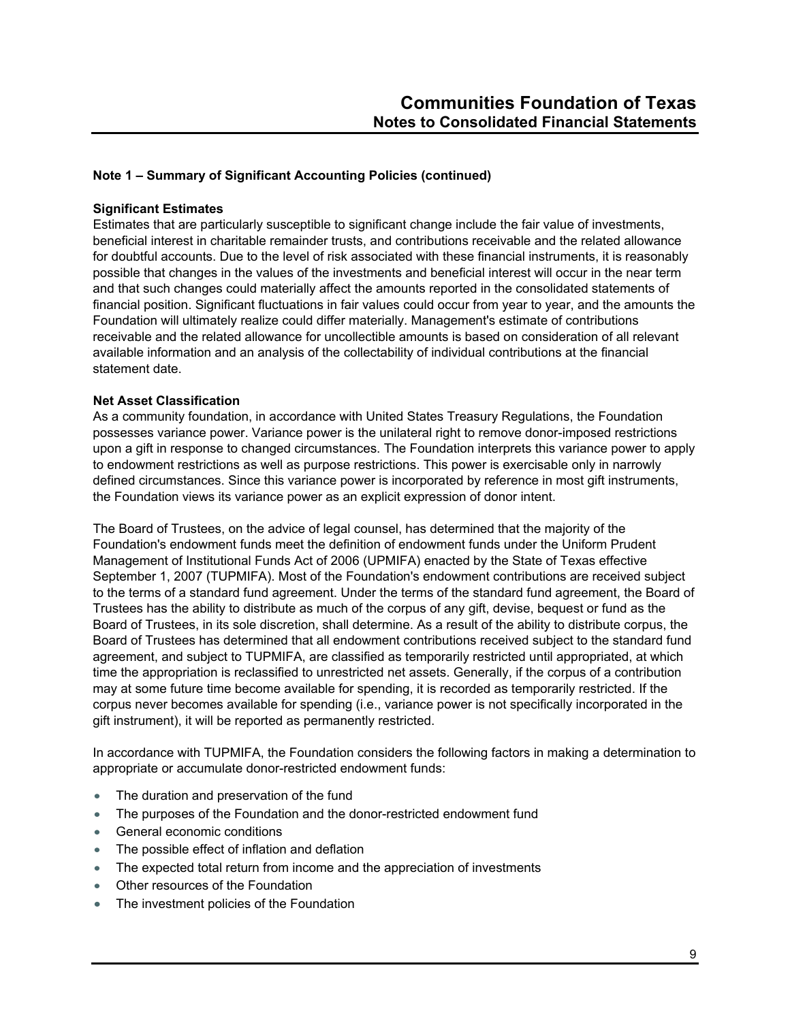#### **Significant Estimates**

Estimates that are particularly susceptible to significant change include the fair value of investments, beneficial interest in charitable remainder trusts, and contributions receivable and the related allowance for doubtful accounts. Due to the level of risk associated with these financial instruments, it is reasonably possible that changes in the values of the investments and beneficial interest will occur in the near term and that such changes could materially affect the amounts reported in the consolidated statements of financial position. Significant fluctuations in fair values could occur from year to year, and the amounts the Foundation will ultimately realize could differ materially. Management's estimate of contributions receivable and the related allowance for uncollectible amounts is based on consideration of all relevant available information and an analysis of the collectability of individual contributions at the financial statement date.

#### **Net Asset Classification**

As a community foundation, in accordance with United States Treasury Regulations, the Foundation possesses variance power. Variance power is the unilateral right to remove donor-imposed restrictions upon a gift in response to changed circumstances. The Foundation interprets this variance power to apply to endowment restrictions as well as purpose restrictions. This power is exercisable only in narrowly defined circumstances. Since this variance power is incorporated by reference in most gift instruments, the Foundation views its variance power as an explicit expression of donor intent.

The Board of Trustees, on the advice of legal counsel, has determined that the majority of the Foundation's endowment funds meet the definition of endowment funds under the Uniform Prudent Management of Institutional Funds Act of 2006 (UPMIFA) enacted by the State of Texas effective September 1, 2007 (TUPMIFA). Most of the Foundation's endowment contributions are received subject to the terms of a standard fund agreement. Under the terms of the standard fund agreement, the Board of Trustees has the ability to distribute as much of the corpus of any gift, devise, bequest or fund as the Board of Trustees, in its sole discretion, shall determine. As a result of the ability to distribute corpus, the Board of Trustees has determined that all endowment contributions received subject to the standard fund agreement, and subject to TUPMIFA, are classified as temporarily restricted until appropriated, at which time the appropriation is reclassified to unrestricted net assets. Generally, if the corpus of a contribution may at some future time become available for spending, it is recorded as temporarily restricted. If the corpus never becomes available for spending (i.e., variance power is not specifically incorporated in the gift instrument), it will be reported as permanently restricted.

In accordance with TUPMIFA, the Foundation considers the following factors in making a determination to appropriate or accumulate donor-restricted endowment funds:

- The duration and preservation of the fund
- The purposes of the Foundation and the donor-restricted endowment fund
- **General economic conditions**
- The possible effect of inflation and deflation
- The expected total return from income and the appreciation of investments
- Other resources of the Foundation
- The investment policies of the Foundation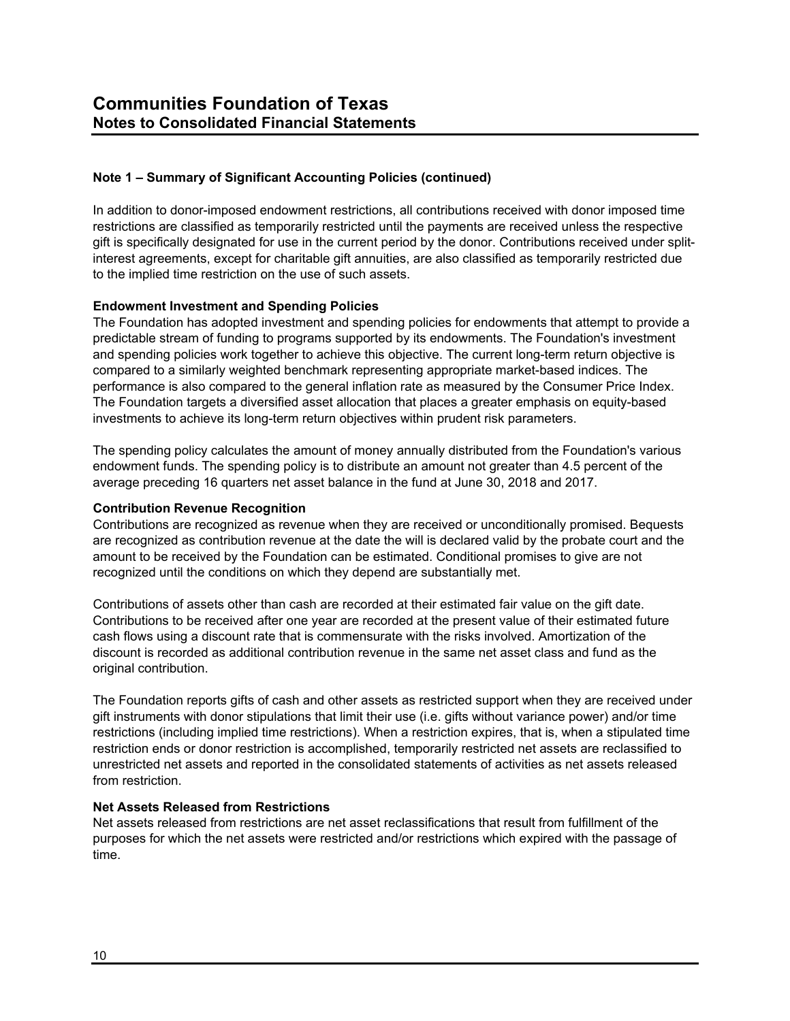In addition to donor-imposed endowment restrictions, all contributions received with donor imposed time restrictions are classified as temporarily restricted until the payments are received unless the respective gift is specifically designated for use in the current period by the donor. Contributions received under splitinterest agreements, except for charitable gift annuities, are also classified as temporarily restricted due to the implied time restriction on the use of such assets.

#### **Endowment Investment and Spending Policies**

The Foundation has adopted investment and spending policies for endowments that attempt to provide a predictable stream of funding to programs supported by its endowments. The Foundation's investment and spending policies work together to achieve this objective. The current long-term return objective is compared to a similarly weighted benchmark representing appropriate market-based indices. The performance is also compared to the general inflation rate as measured by the Consumer Price Index. The Foundation targets a diversified asset allocation that places a greater emphasis on equity-based investments to achieve its long-term return objectives within prudent risk parameters.

The spending policy calculates the amount of money annually distributed from the Foundation's various endowment funds. The spending policy is to distribute an amount not greater than 4.5 percent of the average preceding 16 quarters net asset balance in the fund at June 30, 2018 and 2017.

#### **Contribution Revenue Recognition**

Contributions are recognized as revenue when they are received or unconditionally promised. Bequests are recognized as contribution revenue at the date the will is declared valid by the probate court and the amount to be received by the Foundation can be estimated. Conditional promises to give are not recognized until the conditions on which they depend are substantially met.

Contributions of assets other than cash are recorded at their estimated fair value on the gift date. Contributions to be received after one year are recorded at the present value of their estimated future cash flows using a discount rate that is commensurate with the risks involved. Amortization of the discount is recorded as additional contribution revenue in the same net asset class and fund as the original contribution.

The Foundation reports gifts of cash and other assets as restricted support when they are received under gift instruments with donor stipulations that limit their use (i.e. gifts without variance power) and/or time restrictions (including implied time restrictions). When a restriction expires, that is, when a stipulated time restriction ends or donor restriction is accomplished, temporarily restricted net assets are reclassified to unrestricted net assets and reported in the consolidated statements of activities as net assets released from restriction.

#### **Net Assets Released from Restrictions**

Net assets released from restrictions are net asset reclassifications that result from fulfillment of the purposes for which the net assets were restricted and/or restrictions which expired with the passage of time.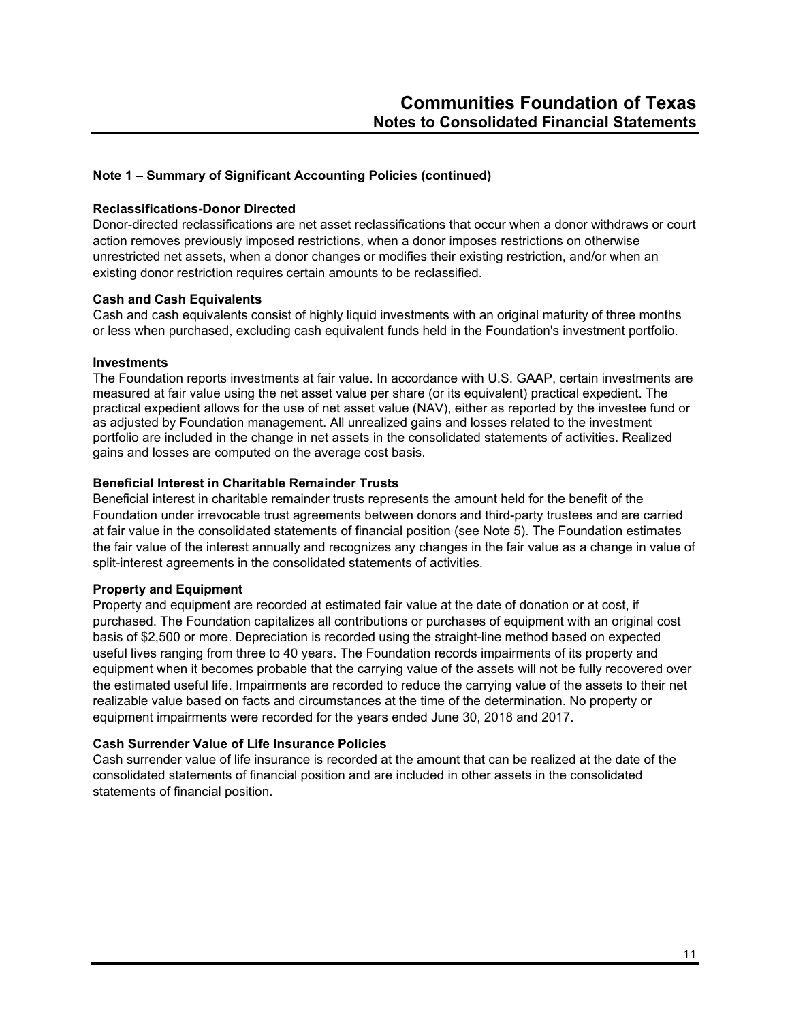#### **Reclassifications-Donor Directed**

Donor-directed reclassifications are net asset reclassifications that occur when a donor withdraws or court action removes previously imposed restrictions, when a donor imposes restrictions on otherwise unrestricted net assets, when a donor changes or modifies their existing restriction, and/or when an existing donor restriction requires certain amounts to be reclassified.

#### **Cash and Cash Equivalents**

Cash and cash equivalents consist of highly liquid investments with an original maturity of three months or less when purchased, excluding cash equivalent funds held in the Foundation's investment portfolio.

#### **Investments**

The Foundation reports investments at fair value. In accordance with U.S. GAAP, certain investments are measured at fair value using the net asset value per share (or its equivalent) practical expedient. The practical expedient allows for the use of net asset value (NAV), either as reported by the investee fund or as adjusted by Foundation management. All unrealized gains and losses related to the investment portfolio are included in the change in net assets in the consolidated statements of activities. Realized gains and losses are computed on the average cost basis.

#### **Beneficial Interest in Charitable Remainder Trusts**

Beneficial interest in charitable remainder trusts represents the amount held for the benefit of the Foundation under irrevocable trust agreements between donors and third-party trustees and are carried at fair value in the consolidated statements of financial position (see Note 5). The Foundation estimates the fair value of the interest annually and recognizes any changes in the fair value as a change in value of split-interest agreements in the consolidated statements of activities.

#### **Property and Equipment**

Property and equipment are recorded at estimated fair value at the date of donation or at cost, if purchased. The Foundation capitalizes all contributions or purchases of equipment with an original cost basis of \$2,500 or more. Depreciation is recorded using the straight-line method based on expected useful lives ranging from three to 40 years. The Foundation records impairments of its property and equipment when it becomes probable that the carrying value of the assets will not be fully recovered over the estimated useful life. Impairments are recorded to reduce the carrying value of the assets to their net realizable value based on facts and circumstances at the time of the determination. No property or equipment impairments were recorded for the years ended June 30, 2018 and 2017.

#### **Cash Surrender Value of Life Insurance Policies**

Cash surrender value of life insurance is recorded at the amount that can be realized at the date of the consolidated statements of financial position and are included in other assets in the consolidated statements of financial position.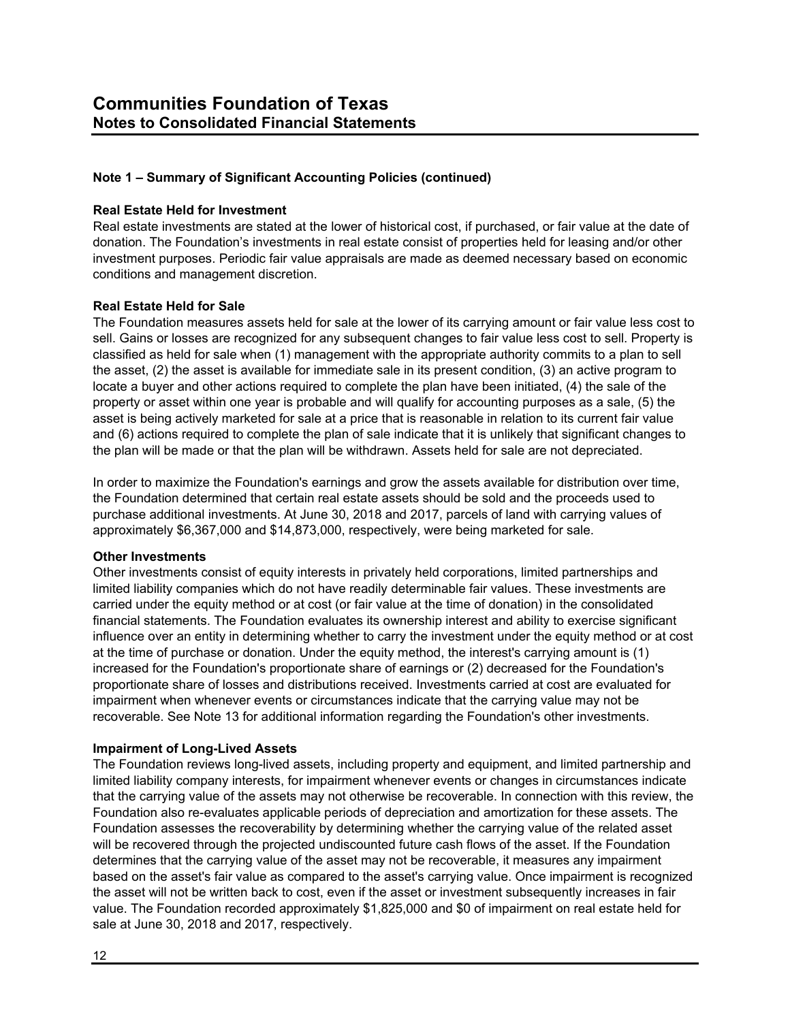#### **Real Estate Held for Investment**

Real estate investments are stated at the lower of historical cost, if purchased, or fair value at the date of donation. The Foundation's investments in real estate consist of properties held for leasing and/or other investment purposes. Periodic fair value appraisals are made as deemed necessary based on economic conditions and management discretion.

#### **Real Estate Held for Sale**

The Foundation measures assets held for sale at the lower of its carrying amount or fair value less cost to sell. Gains or losses are recognized for any subsequent changes to fair value less cost to sell. Property is classified as held for sale when (1) management with the appropriate authority commits to a plan to sell the asset, (2) the asset is available for immediate sale in its present condition, (3) an active program to locate a buyer and other actions required to complete the plan have been initiated, (4) the sale of the property or asset within one year is probable and will qualify for accounting purposes as a sale, (5) the asset is being actively marketed for sale at a price that is reasonable in relation to its current fair value and (6) actions required to complete the plan of sale indicate that it is unlikely that significant changes to the plan will be made or that the plan will be withdrawn. Assets held for sale are not depreciated.

In order to maximize the Foundation's earnings and grow the assets available for distribution over time, the Foundation determined that certain real estate assets should be sold and the proceeds used to purchase additional investments. At June 30, 2018 and 2017, parcels of land with carrying values of approximately \$6,367,000 and \$14,873,000, respectively, were being marketed for sale.

#### **Other Investments**

Other investments consist of equity interests in privately held corporations, limited partnerships and limited liability companies which do not have readily determinable fair values. These investments are carried under the equity method or at cost (or fair value at the time of donation) in the consolidated financial statements. The Foundation evaluates its ownership interest and ability to exercise significant influence over an entity in determining whether to carry the investment under the equity method or at cost at the time of purchase or donation. Under the equity method, the interest's carrying amount is (1) increased for the Foundation's proportionate share of earnings or (2) decreased for the Foundation's proportionate share of losses and distributions received. Investments carried at cost are evaluated for impairment when whenever events or circumstances indicate that the carrying value may not be recoverable. See Note 13 for additional information regarding the Foundation's other investments.

#### **Impairment of Long-Lived Assets**

The Foundation reviews long-lived assets, including property and equipment, and limited partnership and limited liability company interests, for impairment whenever events or changes in circumstances indicate that the carrying value of the assets may not otherwise be recoverable. In connection with this review, the Foundation also re-evaluates applicable periods of depreciation and amortization for these assets. The Foundation assesses the recoverability by determining whether the carrying value of the related asset will be recovered through the projected undiscounted future cash flows of the asset. If the Foundation determines that the carrying value of the asset may not be recoverable, it measures any impairment based on the asset's fair value as compared to the asset's carrying value. Once impairment is recognized the asset will not be written back to cost, even if the asset or investment subsequently increases in fair value. The Foundation recorded approximately \$1,825,000 and \$0 of impairment on real estate held for sale at June 30, 2018 and 2017, respectively.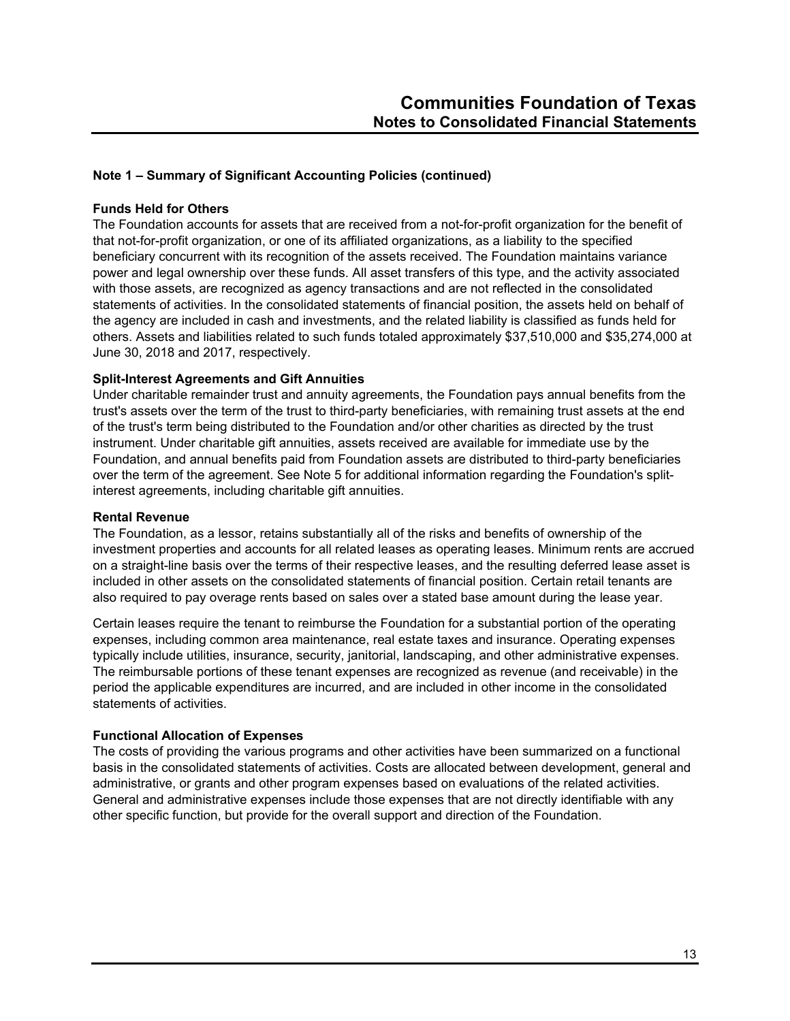## **Funds Held for Others**

The Foundation accounts for assets that are received from a not-for-profit organization for the benefit of that not-for-profit organization, or one of its affiliated organizations, as a liability to the specified beneficiary concurrent with its recognition of the assets received. The Foundation maintains variance power and legal ownership over these funds. All asset transfers of this type, and the activity associated with those assets, are recognized as agency transactions and are not reflected in the consolidated statements of activities. In the consolidated statements of financial position, the assets held on behalf of the agency are included in cash and investments, and the related liability is classified as funds held for others. Assets and liabilities related to such funds totaled approximately \$37,510,000 and \$35,274,000 at June 30, 2018 and 2017, respectively.

#### **Split-Interest Agreements and Gift Annuities**

Under charitable remainder trust and annuity agreements, the Foundation pays annual benefits from the trust's assets over the term of the trust to third-party beneficiaries, with remaining trust assets at the end of the trust's term being distributed to the Foundation and/or other charities as directed by the trust instrument. Under charitable gift annuities, assets received are available for immediate use by the Foundation, and annual benefits paid from Foundation assets are distributed to third-party beneficiaries over the term of the agreement. See Note 5 for additional information regarding the Foundation's splitinterest agreements, including charitable gift annuities.

#### **Rental Revenue**

The Foundation, as a lessor, retains substantially all of the risks and benefits of ownership of the investment properties and accounts for all related leases as operating leases. Minimum rents are accrued on a straight-line basis over the terms of their respective leases, and the resulting deferred lease asset is included in other assets on the consolidated statements of financial position. Certain retail tenants are also required to pay overage rents based on sales over a stated base amount during the lease year.

Certain leases require the tenant to reimburse the Foundation for a substantial portion of the operating expenses, including common area maintenance, real estate taxes and insurance. Operating expenses typically include utilities, insurance, security, janitorial, landscaping, and other administrative expenses. The reimbursable portions of these tenant expenses are recognized as revenue (and receivable) in the period the applicable expenditures are incurred, and are included in other income in the consolidated statements of activities.

#### **Functional Allocation of Expenses**

The costs of providing the various programs and other activities have been summarized on a functional basis in the consolidated statements of activities. Costs are allocated between development, general and administrative, or grants and other program expenses based on evaluations of the related activities. General and administrative expenses include those expenses that are not directly identifiable with any other specific function, but provide for the overall support and direction of the Foundation.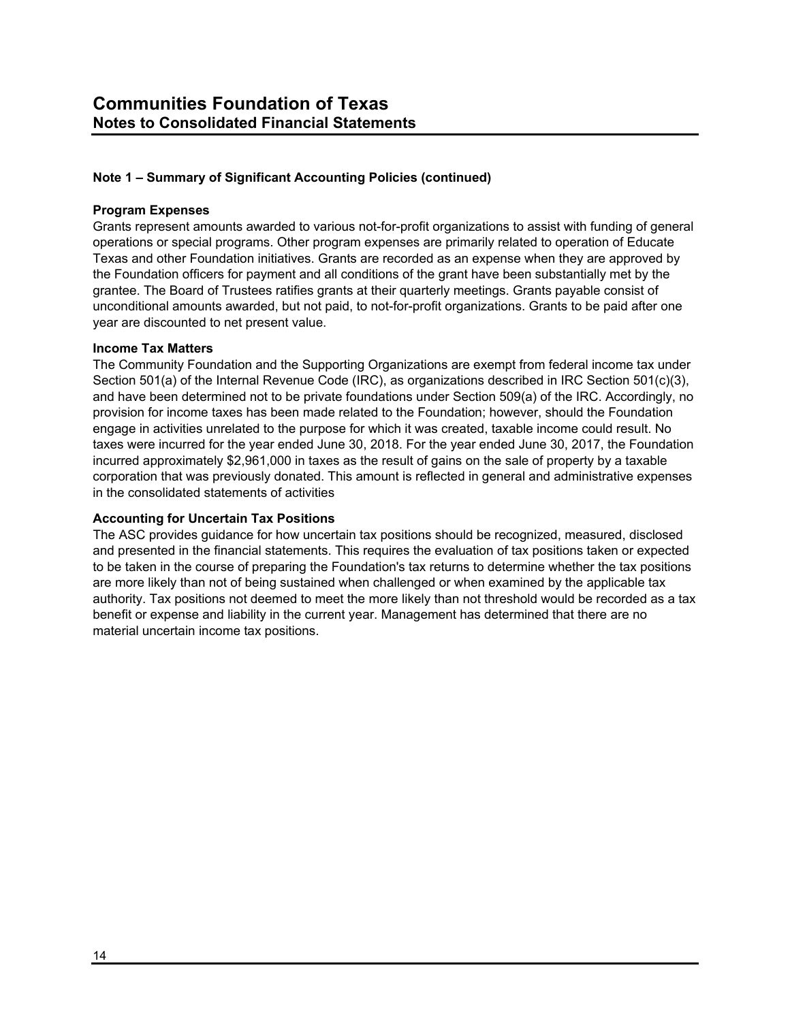#### **Program Expenses**

Grants represent amounts awarded to various not-for-profit organizations to assist with funding of general operations or special programs. Other program expenses are primarily related to operation of Educate Texas and other Foundation initiatives. Grants are recorded as an expense when they are approved by the Foundation officers for payment and all conditions of the grant have been substantially met by the grantee. The Board of Trustees ratifies grants at their quarterly meetings. Grants payable consist of unconditional amounts awarded, but not paid, to not-for-profit organizations. Grants to be paid after one year are discounted to net present value.

#### **Income Tax Matters**

The Community Foundation and the Supporting Organizations are exempt from federal income tax under Section 501(a) of the Internal Revenue Code (IRC), as organizations described in IRC Section 501(c)(3), and have been determined not to be private foundations under Section 509(a) of the IRC. Accordingly, no provision for income taxes has been made related to the Foundation; however, should the Foundation engage in activities unrelated to the purpose for which it was created, taxable income could result. No taxes were incurred for the year ended June 30, 2018. For the year ended June 30, 2017, the Foundation incurred approximately \$2,961,000 in taxes as the result of gains on the sale of property by a taxable corporation that was previously donated. This amount is reflected in general and administrative expenses in the consolidated statements of activities

#### **Accounting for Uncertain Tax Positions**

The ASC provides guidance for how uncertain tax positions should be recognized, measured, disclosed and presented in the financial statements. This requires the evaluation of tax positions taken or expected to be taken in the course of preparing the Foundation's tax returns to determine whether the tax positions are more likely than not of being sustained when challenged or when examined by the applicable tax authority. Tax positions not deemed to meet the more likely than not threshold would be recorded as a tax benefit or expense and liability in the current year. Management has determined that there are no material uncertain income tax positions.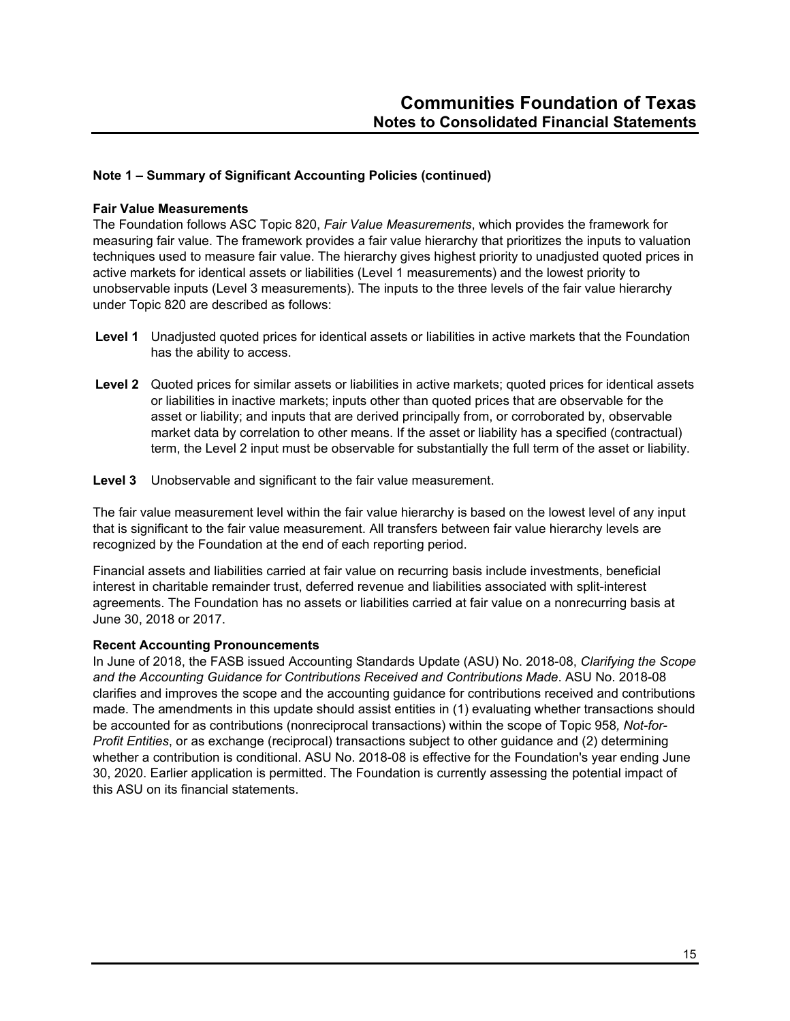#### **Fair Value Measurements**

The Foundation follows ASC Topic 820, *Fair Value Measurements*, which provides the framework for measuring fair value. The framework provides a fair value hierarchy that prioritizes the inputs to valuation techniques used to measure fair value. The hierarchy gives highest priority to unadjusted quoted prices in active markets for identical assets or liabilities (Level 1 measurements) and the lowest priority to unobservable inputs (Level 3 measurements). The inputs to the three levels of the fair value hierarchy under Topic 820 are described as follows:

- **Level 1** Unadjusted quoted prices for identical assets or liabilities in active markets that the Foundation has the ability to access.
- **Level 2** Quoted prices for similar assets or liabilities in active markets; quoted prices for identical assets or liabilities in inactive markets; inputs other than quoted prices that are observable for the asset or liability; and inputs that are derived principally from, or corroborated by, observable market data by correlation to other means. If the asset or liability has a specified (contractual) term, the Level 2 input must be observable for substantially the full term of the asset or liability.
- **Level 3** Unobservable and significant to the fair value measurement.

The fair value measurement level within the fair value hierarchy is based on the lowest level of any input that is significant to the fair value measurement. All transfers between fair value hierarchy levels are recognized by the Foundation at the end of each reporting period.

Financial assets and liabilities carried at fair value on recurring basis include investments, beneficial interest in charitable remainder trust, deferred revenue and liabilities associated with split-interest agreements. The Foundation has no assets or liabilities carried at fair value on a nonrecurring basis at June 30, 2018 or 2017.

#### **Recent Accounting Pronouncements**

In June of 2018, the FASB issued Accounting Standards Update (ASU) No. 2018-08, *Clarifying the Scope and the Accounting Guidance for Contributions Received and Contributions Made*. ASU No. 2018-08 clarifies and improves the scope and the accounting guidance for contributions received and contributions made. The amendments in this update should assist entities in (1) evaluating whether transactions should be accounted for as contributions (nonreciprocal transactions) within the scope of Topic 958*, Not-for-Profit Entities*, or as exchange (reciprocal) transactions subject to other guidance and (2) determining whether a contribution is conditional. ASU No. 2018-08 is effective for the Foundation's year ending June 30, 2020. Earlier application is permitted. The Foundation is currently assessing the potential impact of this ASU on its financial statements.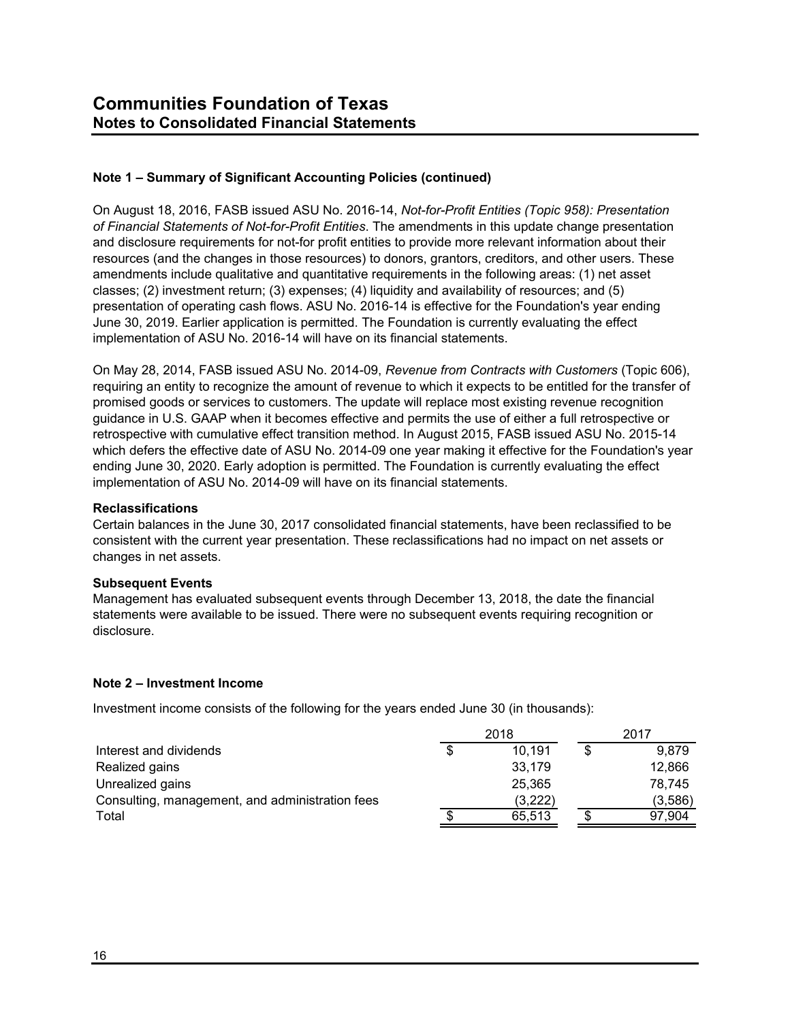On August 18, 2016, FASB issued ASU No. 2016-14, *Not-for-Profit Entities (Topic 958): Presentation of Financial Statements of Not-for-Profit Entities*. The amendments in this update change presentation and disclosure requirements for not-for profit entities to provide more relevant information about their resources (and the changes in those resources) to donors, grantors, creditors, and other users. These amendments include qualitative and quantitative requirements in the following areas: (1) net asset classes; (2) investment return; (3) expenses; (4) liquidity and availability of resources; and (5) presentation of operating cash flows. ASU No. 2016-14 is effective for the Foundation's year ending June 30, 2019. Earlier application is permitted. The Foundation is currently evaluating the effect implementation of ASU No. 2016-14 will have on its financial statements.

On May 28, 2014, FASB issued ASU No. 2014-09, *Revenue from Contracts with Customers* (Topic 606), requiring an entity to recognize the amount of revenue to which it expects to be entitled for the transfer of promised goods or services to customers. The update will replace most existing revenue recognition guidance in U.S. GAAP when it becomes effective and permits the use of either a full retrospective or retrospective with cumulative effect transition method. In August 2015, FASB issued ASU No. 2015-14 which defers the effective date of ASU No. 2014-09 one year making it effective for the Foundation's year ending June 30, 2020. Early adoption is permitted. The Foundation is currently evaluating the effect implementation of ASU No. 2014-09 will have on its financial statements.

#### **Reclassifications**

Certain balances in the June 30, 2017 consolidated financial statements, have been reclassified to be consistent with the current year presentation. These reclassifications had no impact on net assets or changes in net assets.

#### **Subsequent Events**

Management has evaluated subsequent events through December 13, 2018, the date the financial statements were available to be issued. There were no subsequent events requiring recognition or disclosure.

#### **Note 2 – Investment Income**

Investment income consists of the following for the years ended June 30 (in thousands):

|                                                 | 2018    | 2017    |  |  |
|-------------------------------------------------|---------|---------|--|--|
| Interest and dividends                          | 10.191  | 9.879   |  |  |
| Realized gains                                  | 33,179  | 12.866  |  |  |
| Unrealized gains                                | 25,365  | 78.745  |  |  |
| Consulting, management, and administration fees | (3,222) | (3,586) |  |  |
| Total                                           | 65.513  | 97.904  |  |  |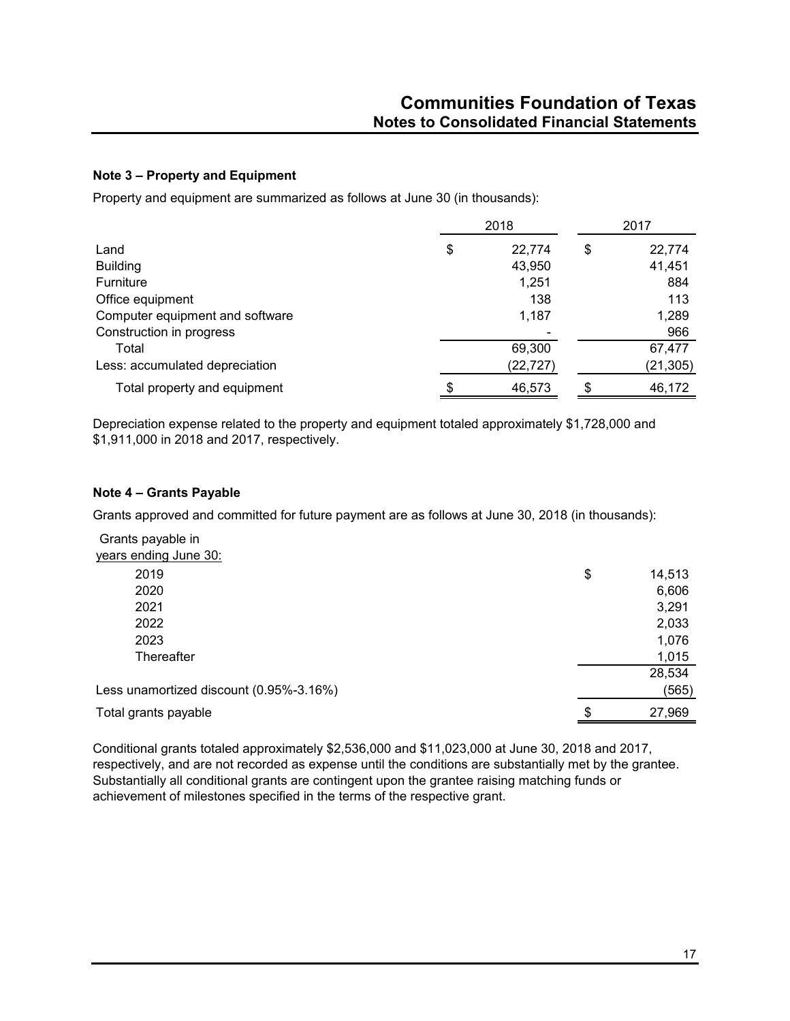## **Note 3 – Property and Equipment**

Property and equipment are summarized as follows at June 30 (in thousands):

|                                 |    | 2017      |    |           |
|---------------------------------|----|-----------|----|-----------|
| Land                            | \$ | 22,774    | \$ | 22,774    |
| <b>Building</b>                 |    | 43,950    |    | 41,451    |
| Furniture                       |    | 1,251     |    | 884       |
| Office equipment                |    | 138       |    | 113       |
| Computer equipment and software |    | 1,187     |    | 1,289     |
| Construction in progress        |    |           |    | 966       |
| Total                           |    | 69,300    |    | 67,477    |
| Less: accumulated depreciation  |    | (22, 727) |    | (21, 305) |
| Total property and equipment    | \$ | 46,573    |    | 46,172    |

Depreciation expense related to the property and equipment totaled approximately \$1,728,000 and \$1,911,000 in 2018 and 2017, respectively.

## **Note 4 – Grants Payable**

Grants approved and committed for future payment are as follows at June 30, 2018 (in thousands):

Grants payable in

| years ending June 30:                   |    |        |
|-----------------------------------------|----|--------|
| 2019                                    | \$ | 14,513 |
| 2020                                    |    | 6,606  |
| 2021                                    |    | 3,291  |
| 2022                                    |    | 2,033  |
| 2023                                    |    | 1,076  |
| Thereafter                              |    | 1,015  |
|                                         |    | 28,534 |
| Less unamortized discount (0.95%-3.16%) |    | (565)  |
| Total grants payable                    | S  | 27,969 |
|                                         |    |        |

Conditional grants totaled approximately \$2,536,000 and \$11,023,000 at June 30, 2018 and 2017, respectively, and are not recorded as expense until the conditions are substantially met by the grantee. Substantially all conditional grants are contingent upon the grantee raising matching funds or achievement of milestones specified in the terms of the respective grant.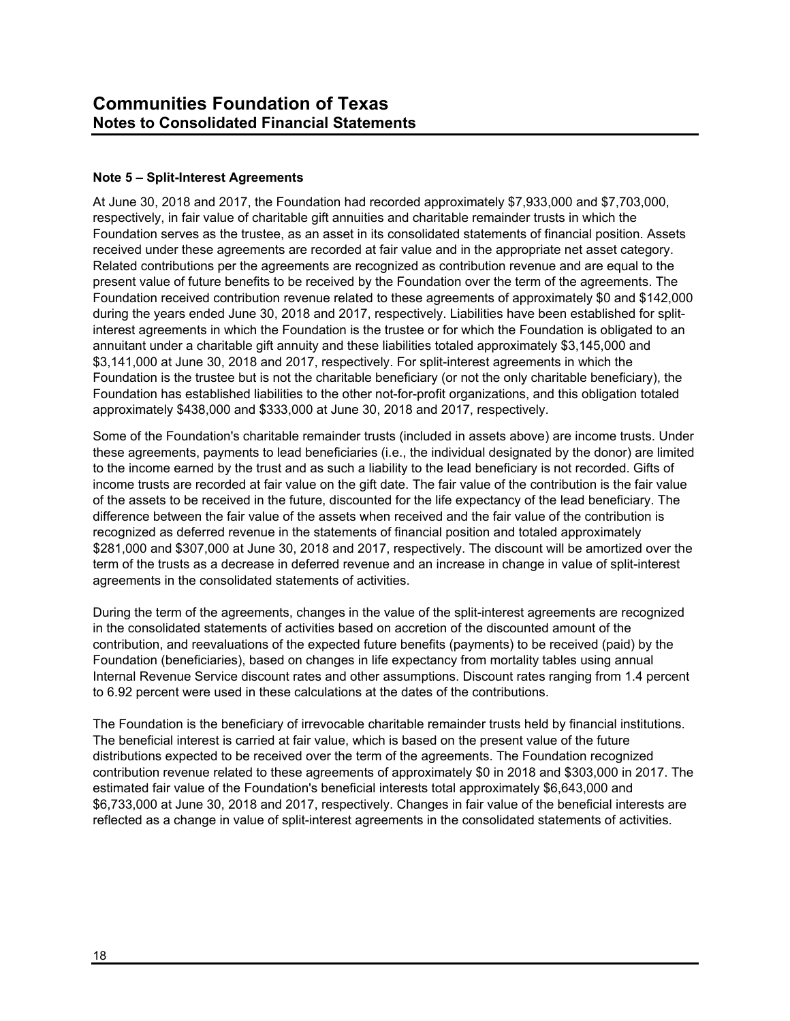## **Note 5 – Split-Interest Agreements**

At June 30, 2018 and 2017, the Foundation had recorded approximately \$7,933,000 and \$7,703,000, respectively, in fair value of charitable gift annuities and charitable remainder trusts in which the Foundation serves as the trustee, as an asset in its consolidated statements of financial position. Assets received under these agreements are recorded at fair value and in the appropriate net asset category. Related contributions per the agreements are recognized as contribution revenue and are equal to the present value of future benefits to be received by the Foundation over the term of the agreements. The Foundation received contribution revenue related to these agreements of approximately \$0 and \$142,000 during the years ended June 30, 2018 and 2017, respectively. Liabilities have been established for splitinterest agreements in which the Foundation is the trustee or for which the Foundation is obligated to an annuitant under a charitable gift annuity and these liabilities totaled approximately \$3,145,000 and \$3,141,000 at June 30, 2018 and 2017, respectively. For split-interest agreements in which the Foundation is the trustee but is not the charitable beneficiary (or not the only charitable beneficiary), the Foundation has established liabilities to the other not-for-profit organizations, and this obligation totaled approximately \$438,000 and \$333,000 at June 30, 2018 and 2017, respectively.

Some of the Foundation's charitable remainder trusts (included in assets above) are income trusts. Under these agreements, payments to lead beneficiaries (i.e., the individual designated by the donor) are limited to the income earned by the trust and as such a liability to the lead beneficiary is not recorded. Gifts of income trusts are recorded at fair value on the gift date. The fair value of the contribution is the fair value of the assets to be received in the future, discounted for the life expectancy of the lead beneficiary. The difference between the fair value of the assets when received and the fair value of the contribution is recognized as deferred revenue in the statements of financial position and totaled approximately \$281,000 and \$307,000 at June 30, 2018 and 2017, respectively. The discount will be amortized over the term of the trusts as a decrease in deferred revenue and an increase in change in value of split-interest agreements in the consolidated statements of activities.

During the term of the agreements, changes in the value of the split-interest agreements are recognized in the consolidated statements of activities based on accretion of the discounted amount of the contribution, and reevaluations of the expected future benefits (payments) to be received (paid) by the Foundation (beneficiaries), based on changes in life expectancy from mortality tables using annual Internal Revenue Service discount rates and other assumptions. Discount rates ranging from 1.4 percent to 6.92 percent were used in these calculations at the dates of the contributions.

The Foundation is the beneficiary of irrevocable charitable remainder trusts held by financial institutions. The beneficial interest is carried at fair value, which is based on the present value of the future distributions expected to be received over the term of the agreements. The Foundation recognized contribution revenue related to these agreements of approximately \$0 in 2018 and \$303,000 in 2017. The estimated fair value of the Foundation's beneficial interests total approximately \$6,643,000 and \$6,733,000 at June 30, 2018 and 2017, respectively. Changes in fair value of the beneficial interests are reflected as a change in value of split-interest agreements in the consolidated statements of activities.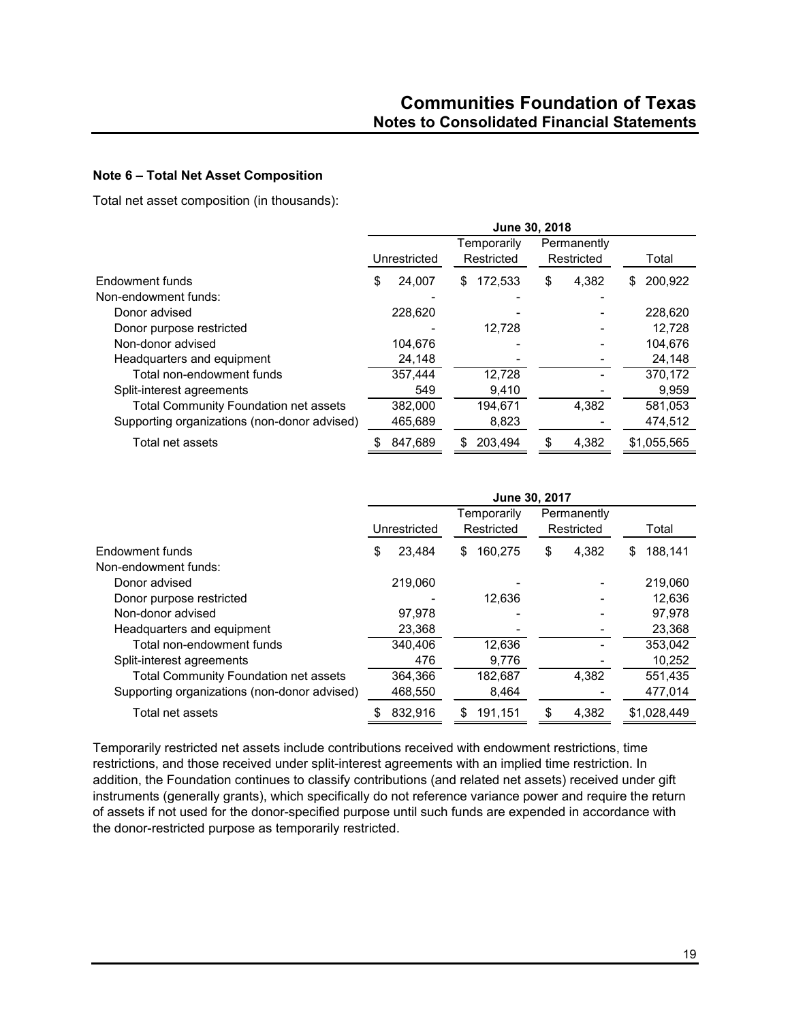#### **Note 6 – Total Net Asset Composition**

Total net asset composition (in thousands):

|                                              | June 30, 2018 |              |    |                           |    |                           |    |             |
|----------------------------------------------|---------------|--------------|----|---------------------------|----|---------------------------|----|-------------|
|                                              |               | Unrestricted |    | Temporarily<br>Restricted |    | Permanently<br>Restricted |    | Total       |
| Endowment funds                              | \$            | 24,007       | \$ | 172,533                   | \$ | 4,382                     | \$ | 200.922     |
| Non-endowment funds:                         |               |              |    |                           |    |                           |    |             |
| Donor advised                                |               | 228,620      |    |                           |    |                           |    | 228.620     |
| Donor purpose restricted                     |               |              |    | 12.728                    |    |                           |    | 12.728      |
| Non-donor advised                            |               | 104.676      |    |                           |    |                           |    | 104.676     |
| Headquarters and equipment                   |               | 24,148       |    |                           |    |                           |    | 24,148      |
| Total non-endowment funds                    |               | 357.444      |    | 12,728                    |    |                           |    | 370.172     |
| Split-interest agreements                    |               | 549          |    | 9,410                     |    |                           |    | 9,959       |
| <b>Total Community Foundation net assets</b> |               | 382,000      |    | 194.671                   |    | 4.382                     |    | 581,053     |
| Supporting organizations (non-donor advised) |               | 465,689      |    | 8,823                     |    |                           |    | 474,512     |
| Total net assets                             |               | 847.689      | S  | 203.494                   | \$ | 4.382                     |    | \$1.055.565 |

|                                              | June 30, 2017 |              |    |                           |    |                           |   |             |
|----------------------------------------------|---------------|--------------|----|---------------------------|----|---------------------------|---|-------------|
|                                              |               | Unrestricted |    | Temporarily<br>Restricted |    | Permanently<br>Restricted |   | Total       |
| Endowment funds                              | S             | 23.484       | S  | 160.275                   | \$ | 4.382                     | S | 188.141     |
| Non-endowment funds:                         |               |              |    |                           |    |                           |   |             |
| Donor advised                                |               | 219,060      |    |                           |    |                           |   | 219.060     |
| Donor purpose restricted                     |               |              |    | 12,636                    |    |                           |   | 12,636      |
| Non-donor advised                            |               | 97.978       |    |                           |    |                           |   | 97.978      |
| Headquarters and equipment                   |               | 23,368       |    |                           |    |                           |   | 23,368      |
| Total non-endowment funds                    |               | 340.406      |    | 12,636                    |    |                           |   | 353.042     |
| Split-interest agreements                    |               | 476          |    | 9,776                     |    |                           |   | 10,252      |
| <b>Total Community Foundation net assets</b> |               | 364,366      |    | 182,687                   |    | 4.382                     |   | 551,435     |
| Supporting organizations (non-donor advised) |               | 468,550      |    | 8,464                     |    |                           |   | 477,014     |
| Total net assets                             |               | 832,916      | \$ | 191,151                   | S  | 4,382                     |   | \$1,028,449 |

Temporarily restricted net assets include contributions received with endowment restrictions, time restrictions, and those received under split-interest agreements with an implied time restriction. In addition, the Foundation continues to classify contributions (and related net assets) received under gift instruments (generally grants), which specifically do not reference variance power and require the return of assets if not used for the donor-specified purpose until such funds are expended in accordance with the donor-restricted purpose as temporarily restricted.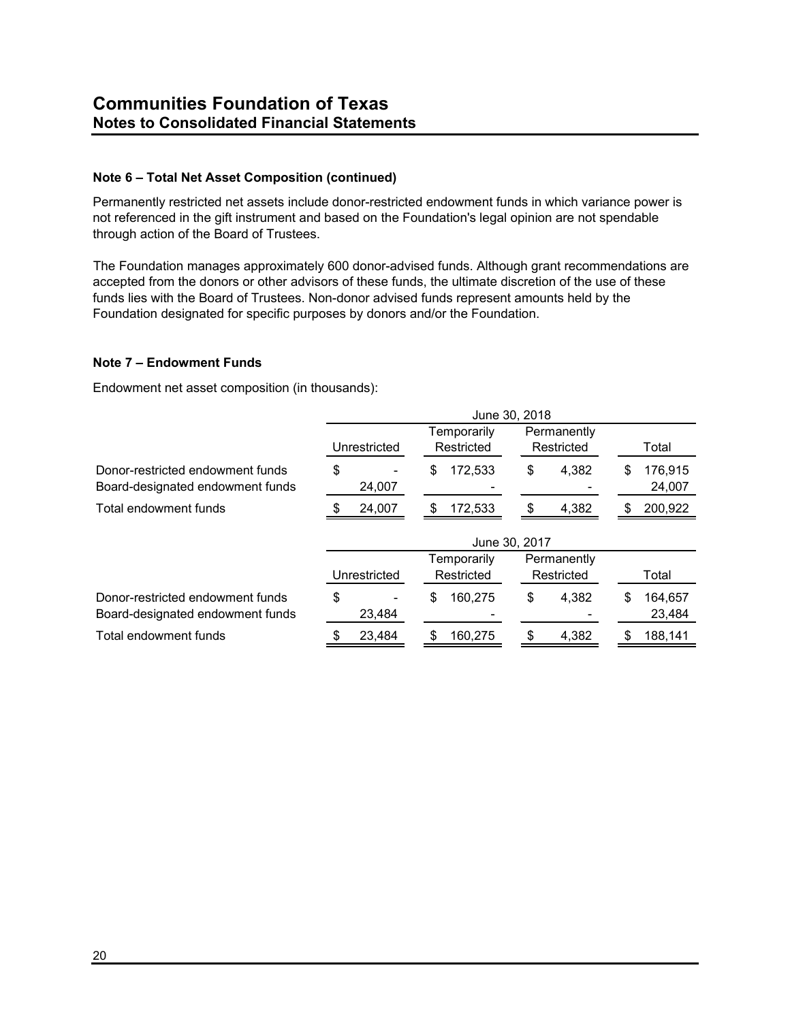#### **Note 6 – Total Net Asset Composition (continued)**

Permanently restricted net assets include donor-restricted endowment funds in which variance power is not referenced in the gift instrument and based on the Foundation's legal opinion are not spendable through action of the Board of Trustees.

The Foundation manages approximately 600 donor-advised funds. Although grant recommendations are accepted from the donors or other advisors of these funds, the ultimate discretion of the use of these funds lies with the Board of Trustees. Non-donor advised funds represent amounts held by the Foundation designated for specific purposes by donors and/or the Foundation.

## **Note 7 – Endowment Funds**

Endowment net asset composition (in thousands):

|                                                                      | June 30, 2018 |              |             |               |               |             |    |                   |
|----------------------------------------------------------------------|---------------|--------------|-------------|---------------|---------------|-------------|----|-------------------|
|                                                                      |               |              | Temporarily |               |               | Permanently |    |                   |
|                                                                      |               | Unrestricted |             | Restricted    |               | Restricted  |    | Total             |
| Donor-restricted endowment funds<br>Board-designated endowment funds | \$            | 24,007       | \$          | 172,533       | \$            | 4.382       | \$ | 176,915<br>24,007 |
| Total endowment funds                                                |               | 24,007       | \$          | 172,533       | $\mathfrak s$ | 4,382       | \$ | 200,922           |
|                                                                      |               |              |             | June 30, 2017 |               |             |    |                   |
|                                                                      |               |              |             | Temporarily   |               | Permanently |    |                   |
|                                                                      |               | Unrestricted |             | Restricted    |               | Restricted  |    | Total             |
| Donor-restricted endowment funds<br>Board-designated endowment funds | \$            | 23,484       | \$          | 160.275       | \$            | 4.382       | \$ | 164,657<br>23,484 |
| Total endowment funds                                                |               | 23,484       | \$          | 160,275       | \$            | 4,382       | \$ | 188,141           |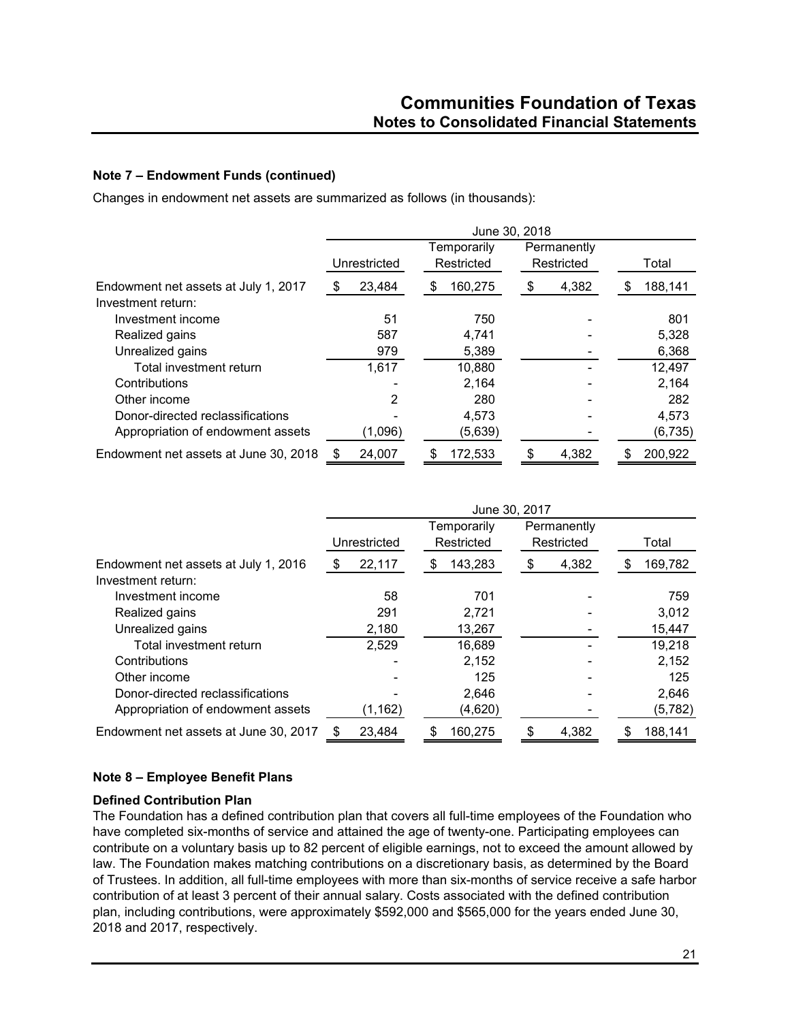## **Note 7 – Endowment Funds (continued)**

Changes in endowment net assets are summarized as follows (in thousands):

|                                                            | June 30, 2018 |         |                           |         |    |                           |    |          |
|------------------------------------------------------------|---------------|---------|---------------------------|---------|----|---------------------------|----|----------|
|                                                            | Unrestricted  |         | Temporarily<br>Restricted |         |    | Permanently<br>Restricted |    | Total    |
| Endowment net assets at July 1, 2017<br>Investment return: | - \$          | 23,484  | \$                        | 160,275 | \$ | 4,382                     | S. | 188,141  |
| Investment income                                          |               | 51      |                           | 750     |    |                           |    | 801      |
| Realized gains                                             |               | 587     |                           | 4,741   |    |                           |    | 5,328    |
| Unrealized gains                                           |               | 979     |                           | 5,389   |    |                           |    | 6,368    |
| Total investment return                                    |               | 1,617   |                           | 10,880  |    |                           |    | 12,497   |
| Contributions                                              |               |         |                           | 2,164   |    |                           |    | 2,164    |
| Other income                                               |               | 2       |                           | 280     |    |                           |    | 282      |
| Donor-directed reclassifications                           |               |         |                           | 4,573   |    |                           |    | 4,573    |
| Appropriation of endowment assets                          |               | (1,096) |                           | (5,639) |    |                           |    | (6, 735) |
| Endowment net assets at June 30, 2018                      |               | 24,007  |                           | 172,533 | \$ | 4,382                     |    | 200,922  |

|                                       | June 30, 2017 |          |                           |         |                           |       |    |          |
|---------------------------------------|---------------|----------|---------------------------|---------|---------------------------|-------|----|----------|
|                                       | Unrestricted  |          | Temporarily<br>Restricted |         | Permanently<br>Restricted |       |    | Total    |
| Endowment net assets at July 1, 2016  |               | 22,117   | Ъ.                        | 143,283 | \$                        | 4,382 | \$ | 169,782  |
| Investment return:                    |               |          |                           |         |                           |       |    |          |
| Investment income                     |               | 58       |                           | 701     |                           |       |    | 759      |
| Realized gains                        |               | 291      |                           | 2,721   |                           |       |    | 3,012    |
| Unrealized gains                      |               | 2,180    |                           | 13,267  |                           |       |    | 15,447   |
| Total investment return               |               | 2,529    |                           | 16,689  |                           |       |    | 19,218   |
| Contributions                         |               |          |                           | 2,152   |                           |       |    | 2,152    |
| Other income                          |               |          |                           | 125     |                           |       |    | 125      |
| Donor-directed reclassifications      |               |          |                           | 2,646   |                           |       |    | 2,646    |
| Appropriation of endowment assets     |               | (1, 162) |                           | (4,620) |                           |       |    | (5, 782) |
| Endowment net assets at June 30, 2017 | S             | 23,484   | S                         | 160,275 | \$                        | 4,382 | S  | 188,141  |

## **Note 8 – Employee Benefit Plans**

#### **Defined Contribution Plan**

The Foundation has a defined contribution plan that covers all full-time employees of the Foundation who have completed six-months of service and attained the age of twenty-one. Participating employees can contribute on a voluntary basis up to 82 percent of eligible earnings, not to exceed the amount allowed by law. The Foundation makes matching contributions on a discretionary basis, as determined by the Board of Trustees. In addition, all full-time employees with more than six-months of service receive a safe harbor contribution of at least 3 percent of their annual salary. Costs associated with the defined contribution plan, including contributions, were approximately \$592,000 and \$565,000 for the years ended June 30, 2018 and 2017, respectively.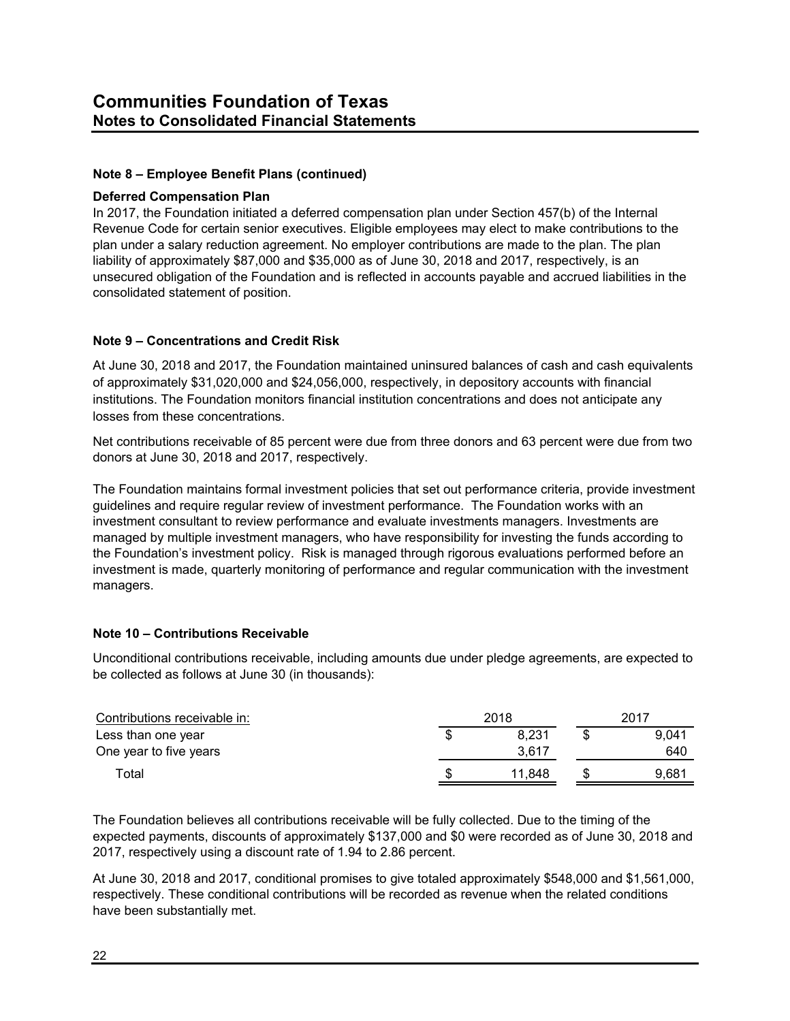## **Note 8 – Employee Benefit Plans (continued)**

#### **Deferred Compensation Plan**

In 2017, the Foundation initiated a deferred compensation plan under Section 457(b) of the Internal Revenue Code for certain senior executives. Eligible employees may elect to make contributions to the plan under a salary reduction agreement. No employer contributions are made to the plan. The plan liability of approximately \$87,000 and \$35,000 as of June 30, 2018 and 2017, respectively, is an unsecured obligation of the Foundation and is reflected in accounts payable and accrued liabilities in the consolidated statement of position.

#### **Note 9 – Concentrations and Credit Risk**

At June 30, 2018 and 2017, the Foundation maintained uninsured balances of cash and cash equivalents of approximately \$31,020,000 and \$24,056,000, respectively, in depository accounts with financial institutions. The Foundation monitors financial institution concentrations and does not anticipate any losses from these concentrations.

Net contributions receivable of 85 percent were due from three donors and 63 percent were due from two donors at June 30, 2018 and 2017, respectively.

The Foundation maintains formal investment policies that set out performance criteria, provide investment guidelines and require regular review of investment performance. The Foundation works with an investment consultant to review performance and evaluate investments managers. Investments are managed by multiple investment managers, who have responsibility for investing the funds according to the Foundation's investment policy. Risk is managed through rigorous evaluations performed before an investment is made, quarterly monitoring of performance and regular communication with the investment managers.

#### **Note 10 – Contributions Receivable**

Unconditional contributions receivable, including amounts due under pledge agreements, are expected to be collected as follows at June 30 (in thousands):

| Contributions receivable in: | 2018 |        | 2017  |
|------------------------------|------|--------|-------|
| Less than one year           | S    | 8.231  | 9.041 |
| One year to five years       |      | 3.617  | 640   |
| ™otal                        | S    | 11.848 | 9.681 |

The Foundation believes all contributions receivable will be fully collected. Due to the timing of the expected payments, discounts of approximately \$137,000 and \$0 were recorded as of June 30, 2018 and 2017, respectively using a discount rate of 1.94 to 2.86 percent.

At June 30, 2018 and 2017, conditional promises to give totaled approximately \$548,000 and \$1,561,000, respectively. These conditional contributions will be recorded as revenue when the related conditions have been substantially met.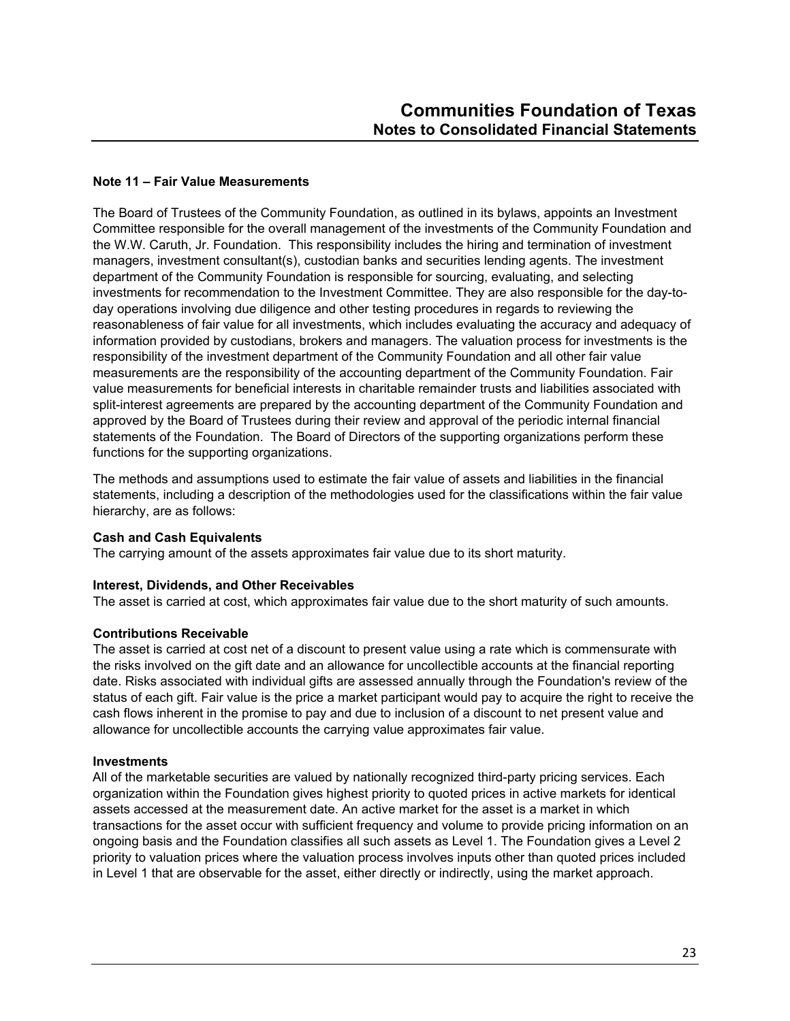#### **Note 11 – Fair Value Measurements**

The Board of Trustees of the Community Foundation, as outlined in its bylaws, appoints an Investment Committee responsible for the overall management of the investments of the Community Foundation and the W.W. Caruth, Jr. Foundation. This responsibility includes the hiring and termination of investment managers, investment consultant(s), custodian banks and securities lending agents. The investment department of the Community Foundation is responsible for sourcing, evaluating, and selecting investments for recommendation to the Investment Committee. They are also responsible for the day-today operations involving due diligence and other testing procedures in regards to reviewing the reasonableness of fair value for all investments, which includes evaluating the accuracy and adequacy of information provided by custodians, brokers and managers. The valuation process for investments is the responsibility of the investment department of the Community Foundation and all other fair value measurements are the responsibility of the accounting department of the Community Foundation. Fair value measurements for beneficial interests in charitable remainder trusts and liabilities associated with split-interest agreements are prepared by the accounting department of the Community Foundation and approved by the Board of Trustees during their review and approval of the periodic internal financial statements of the Foundation. The Board of Directors of the supporting organizations perform these functions for the supporting organizations.

The methods and assumptions used to estimate the fair value of assets and liabilities in the financial statements, including a description of the methodologies used for the classifications within the fair value hierarchy, are as follows:

#### **Cash and Cash Equivalents**

The carrying amount of the assets approximates fair value due to its short maturity.

#### **Interest, Dividends, and Other Receivables**

The asset is carried at cost, which approximates fair value due to the short maturity of such amounts.

#### **Contributions Receivable**

The asset is carried at cost net of a discount to present value using a rate which is commensurate with the risks involved on the gift date and an allowance for uncollectible accounts at the financial reporting date. Risks associated with individual gifts are assessed annually through the Foundation's review of the status of each gift. Fair value is the price a market participant would pay to acquire the right to receive the cash flows inherent in the promise to pay and due to inclusion of a discount to net present value and allowance for uncollectible accounts the carrying value approximates fair value.

#### **Investments**

All of the marketable securities are valued by nationally recognized third-party pricing services. Each organization within the Foundation gives highest priority to quoted prices in active markets for identical assets accessed at the measurement date. An active market for the asset is a market in which transactions for the asset occur with sufficient frequency and volume to provide pricing information on an ongoing basis and the Foundation classifies all such assets as Level 1. The Foundation gives a Level 2 priority to valuation prices where the valuation process involves inputs other than quoted prices included in Level 1 that are observable for the asset, either directly or indirectly, using the market approach.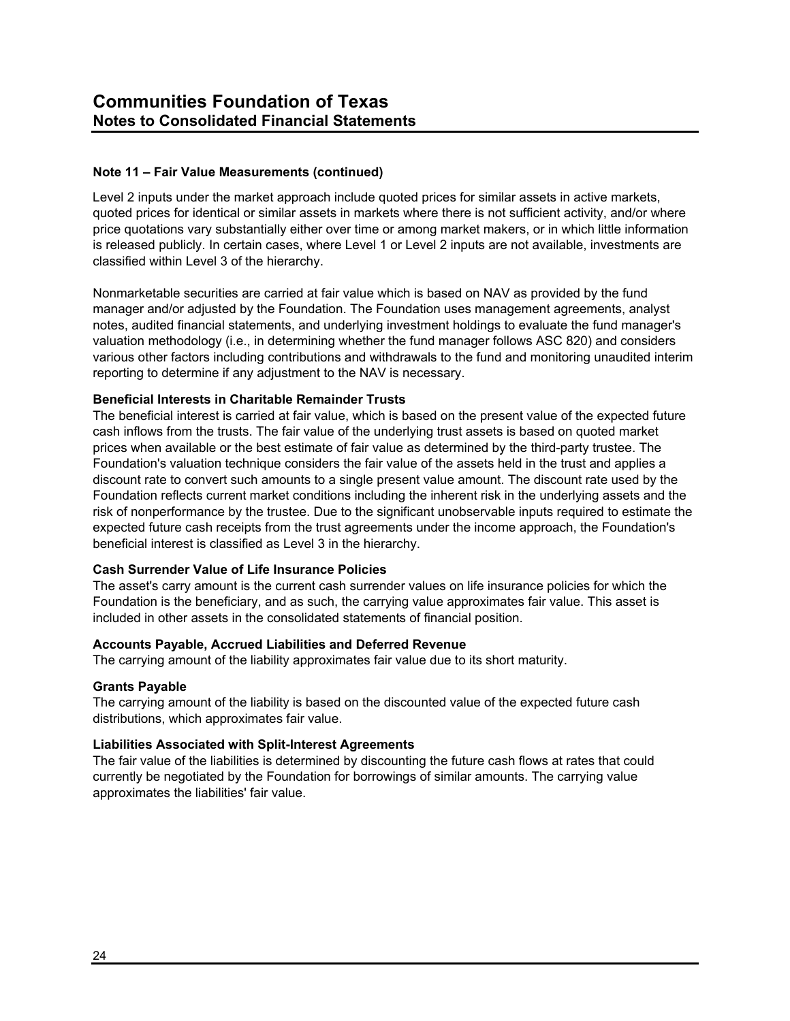Level 2 inputs under the market approach include quoted prices for similar assets in active markets, quoted prices for identical or similar assets in markets where there is not sufficient activity, and/or where price quotations vary substantially either over time or among market makers, or in which little information is released publicly. In certain cases, where Level 1 or Level 2 inputs are not available, investments are classified within Level 3 of the hierarchy.

Nonmarketable securities are carried at fair value which is based on NAV as provided by the fund manager and/or adjusted by the Foundation. The Foundation uses management agreements, analyst notes, audited financial statements, and underlying investment holdings to evaluate the fund manager's valuation methodology (i.e., in determining whether the fund manager follows ASC 820) and considers various other factors including contributions and withdrawals to the fund and monitoring unaudited interim reporting to determine if any adjustment to the NAV is necessary.

#### **Beneficial Interests in Charitable Remainder Trusts**

The beneficial interest is carried at fair value, which is based on the present value of the expected future cash inflows from the trusts. The fair value of the underlying trust assets is based on quoted market prices when available or the best estimate of fair value as determined by the third-party trustee. The Foundation's valuation technique considers the fair value of the assets held in the trust and applies a discount rate to convert such amounts to a single present value amount. The discount rate used by the Foundation reflects current market conditions including the inherent risk in the underlying assets and the risk of nonperformance by the trustee. Due to the significant unobservable inputs required to estimate the expected future cash receipts from the trust agreements under the income approach, the Foundation's beneficial interest is classified as Level 3 in the hierarchy.

#### **Cash Surrender Value of Life Insurance Policies**

The asset's carry amount is the current cash surrender values on life insurance policies for which the Foundation is the beneficiary, and as such, the carrying value approximates fair value. This asset is included in other assets in the consolidated statements of financial position.

#### **Accounts Payable, Accrued Liabilities and Deferred Revenue**

The carrying amount of the liability approximates fair value due to its short maturity.

#### **Grants Payable**

The carrying amount of the liability is based on the discounted value of the expected future cash distributions, which approximates fair value.

#### **Liabilities Associated with Split-Interest Agreements**

The fair value of the liabilities is determined by discounting the future cash flows at rates that could currently be negotiated by the Foundation for borrowings of similar amounts. The carrying value approximates the liabilities' fair value.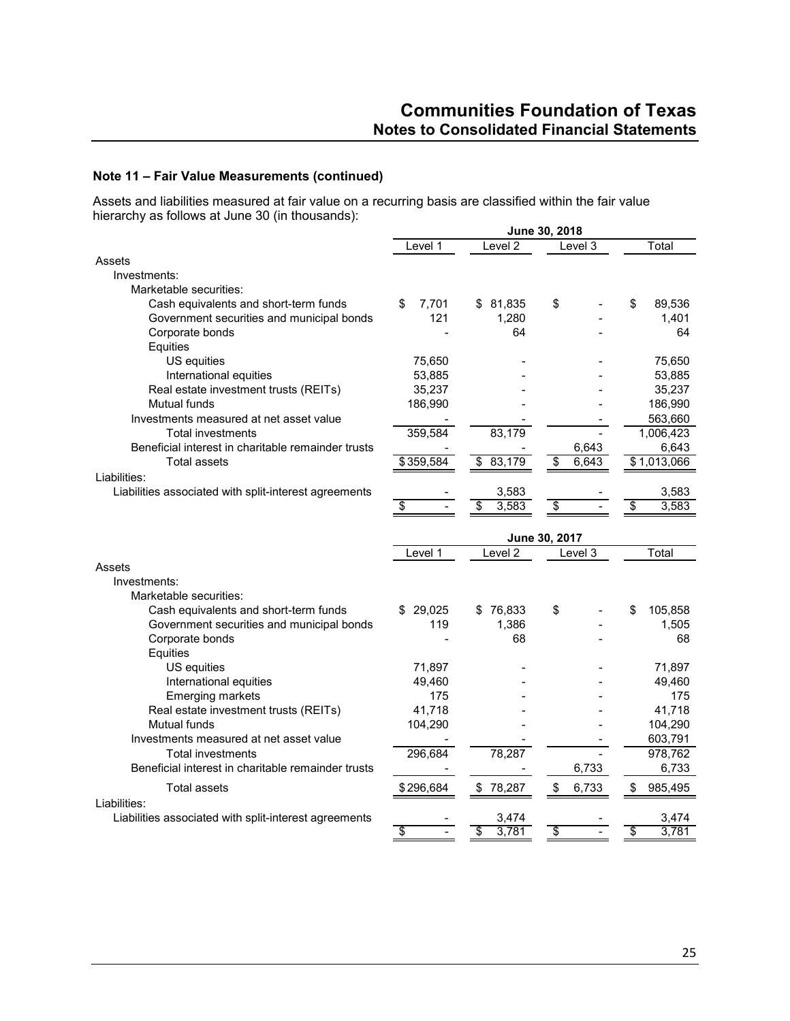Assets and liabilities measured at fair value on a recurring basis are classified within the fair value hierarchy as follows at June 30 (in thousands):

|                                                                                | June 30, 2018 |                      |                          |                  |  |  |
|--------------------------------------------------------------------------------|---------------|----------------------|--------------------------|------------------|--|--|
|                                                                                | Level 1       | Level $\overline{2}$ | Level 3                  | Total            |  |  |
| Assets                                                                         |               |                      |                          |                  |  |  |
| Investments:                                                                   |               |                      |                          |                  |  |  |
| Marketable securities:                                                         |               |                      |                          |                  |  |  |
| Cash equivalents and short-term funds                                          | 7.701<br>\$   | \$81,835             | \$                       | \$<br>89,536     |  |  |
| Government securities and municipal bonds                                      | 121           | 1.280                |                          | 1.401            |  |  |
| Corporate bonds                                                                |               | 64                   |                          | 64               |  |  |
| Equities                                                                       |               |                      |                          |                  |  |  |
| US equities                                                                    | 75,650        |                      |                          | 75,650           |  |  |
| International equities                                                         | 53,885        |                      |                          | 53,885           |  |  |
| Real estate investment trusts (REITs)                                          | 35,237        |                      |                          | 35,237           |  |  |
| Mutual funds                                                                   | 186,990       |                      |                          | 186,990          |  |  |
| Investments measured at net asset value                                        |               |                      |                          | 563,660          |  |  |
| <b>Total investments</b>                                                       | 359,584       | 83,179               |                          | 1,006,423        |  |  |
| Beneficial interest in charitable remainder trusts                             |               |                      | 6,643                    | 6,643            |  |  |
| <b>Total assets</b><br>Liabilities:                                            | \$359,584     | 83,179<br>\$         | \$<br>6,643              | \$1,013,066      |  |  |
| Liabilities associated with split-interest agreements                          |               | 3,583                |                          | 3,583            |  |  |
|                                                                                | \$            | 3,583<br>\$          | $\overline{\mathcal{E}}$ | 3,583<br>\$      |  |  |
|                                                                                |               |                      |                          |                  |  |  |
|                                                                                |               |                      | June 30, 2017            |                  |  |  |
|                                                                                | Level 1       | Level <sub>2</sub>   | Level 3                  | Total            |  |  |
| Assets                                                                         |               |                      |                          |                  |  |  |
| Investments:                                                                   |               |                      |                          |                  |  |  |
| Marketable securities:                                                         |               |                      |                          |                  |  |  |
| Cash equivalents and short-term funds                                          | 29,025        | 76,833<br>\$         | \$                       | 105,858<br>\$    |  |  |
| Government securities and municipal bonds                                      | 119           | 1,386                |                          | 1,505            |  |  |
| Corporate bonds                                                                |               | 68                   |                          | 68               |  |  |
| Equities                                                                       |               |                      |                          |                  |  |  |
| US equities                                                                    | 71,897        |                      |                          | 71,897           |  |  |
| International equities                                                         | 49,460        |                      |                          | 49,460           |  |  |
| <b>Emerging markets</b>                                                        | 175           |                      |                          | 175              |  |  |
| Real estate investment trusts (REITs)                                          | 41,718        |                      |                          | 41,718           |  |  |
| Mutual funds                                                                   | 104,290       |                      |                          | 104,290          |  |  |
| Investments measured at net asset value                                        |               |                      |                          | 603,791          |  |  |
| <b>Total investments</b><br>Beneficial interest in charitable remainder trusts | 296,684       | 78,287               | 6,733                    | 978,762<br>6,733 |  |  |
|                                                                                |               |                      |                          |                  |  |  |
| <b>Total assets</b>                                                            | \$296,684     | \$78,287             | \$<br>6,733              | \$<br>985,495    |  |  |
| Liabilities:                                                                   |               |                      |                          |                  |  |  |
| Liabilities associated with split-interest agreements                          |               | 3,474                |                          | 3,474            |  |  |
|                                                                                | \$            | 3,781<br>\$          | \$                       | 3,781<br>\$      |  |  |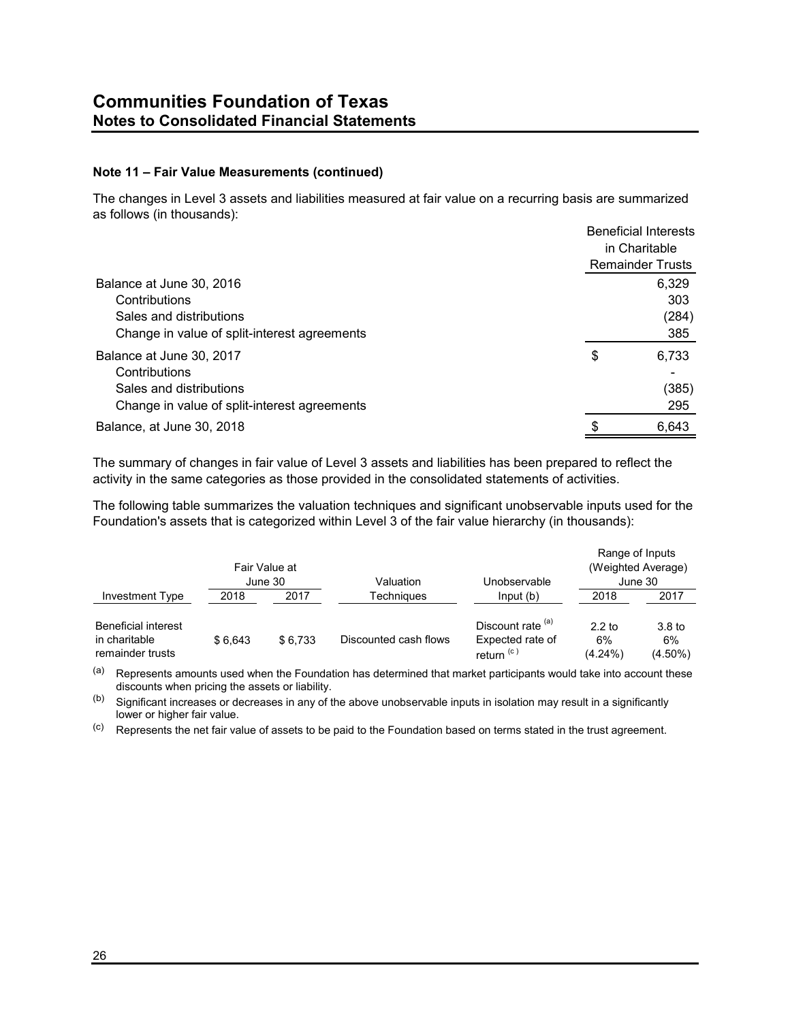The changes in Level 3 assets and liabilities measured at fair value on a recurring basis are summarized as follows (in thousands):

|                                              | <b>Beneficial Interests</b><br>in Charitable |
|----------------------------------------------|----------------------------------------------|
|                                              | <b>Remainder Trusts</b>                      |
| Balance at June 30, 2016                     | 6,329                                        |
| Contributions                                | 303                                          |
| Sales and distributions                      | (284)                                        |
| Change in value of split-interest agreements | 385                                          |
| Balance at June 30, 2017                     | \$<br>6.733                                  |
| Contributions                                |                                              |
| Sales and distributions                      | (385)                                        |
| Change in value of split-interest agreements | 295                                          |
| Balance, at June 30, 2018                    | \$<br>6.643                                  |

The summary of changes in fair value of Level 3 assets and liabilities has been prepared to reflect the activity in the same categories as those provided in the consolidated statements of activities.

The following table summarizes the valuation techniques and significant unobservable inputs used for the Foundation's assets that is categorized within Level 3 of the fair value hierarchy (in thousands):

|                                                                 |         | Fair Value at<br>June 30 | Valuation             | Unobservable                                                   | Range of Inputs              | (Weighted Average)<br>June 30         |
|-----------------------------------------------------------------|---------|--------------------------|-----------------------|----------------------------------------------------------------|------------------------------|---------------------------------------|
| Investment Type                                                 | 2018    | 2017                     | Techniaues            | Input(b)                                                       | 2018                         | 2017                                  |
| <b>Beneficial interest</b><br>in charitable<br>remainder trusts | \$6.643 | \$6.733                  | Discounted cash flows | Discount rate (a)<br>Expected rate of<br>return <sup>(c)</sup> | $2.2$ to<br>6%<br>$(4.24\%)$ | 3.8 <sub>to</sub><br>6%<br>$(4.50\%)$ |

(a) Represents amounts used when the Foundation has determined that market participants would take into account these discounts when pricing the assets or liability.

 $(b)$  Significant increases or decreases in any of the above unobservable inputs in isolation may result in a significantly lower or higher fair value.

(c) Represents the net fair value of assets to be paid to the Foundation based on terms stated in the trust agreement.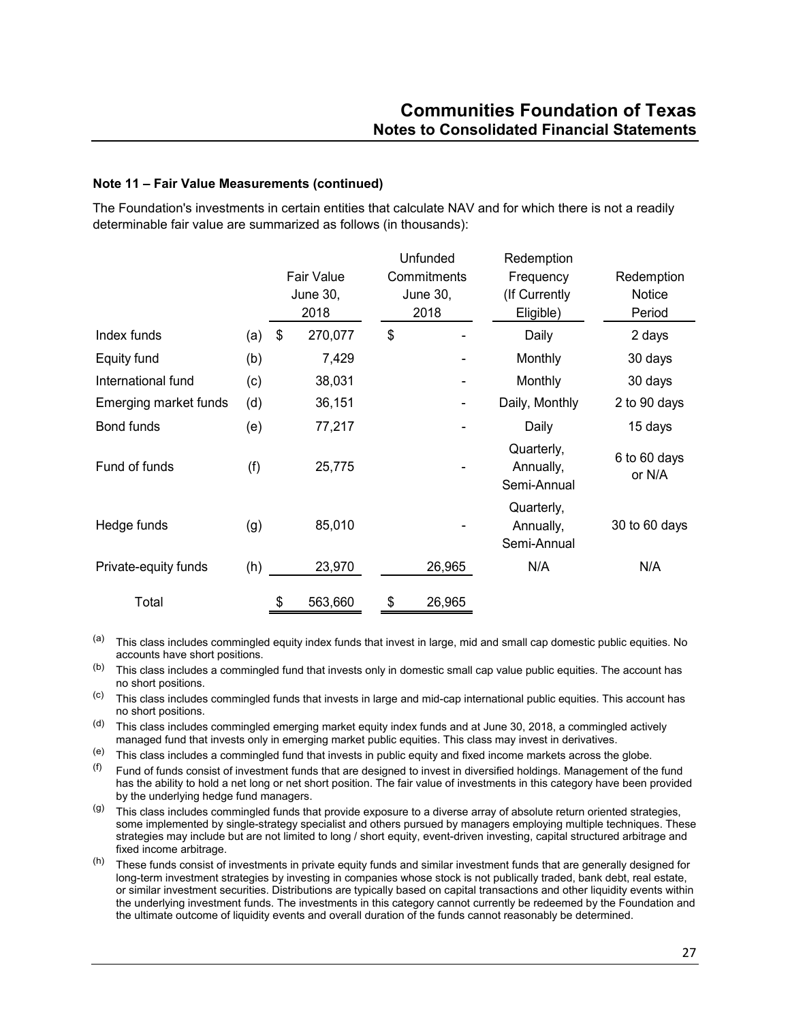The Foundation's investments in certain entities that calculate NAV and for which there is not a readily determinable fair value are summarized as follows (in thousands):

|                       |     | <b>Fair Value</b><br>June 30,<br>2018 | Unfunded<br>Commitments<br>June 30,<br>2018 | Redemption<br>Frequency<br>(If Currently)<br>Eligible) | Redemption<br><b>Notice</b><br>Period |
|-----------------------|-----|---------------------------------------|---------------------------------------------|--------------------------------------------------------|---------------------------------------|
| Index funds           | (a) | \$<br>270,077                         | \$                                          | Daily                                                  | 2 days                                |
| Equity fund           | (b) | 7,429                                 |                                             | Monthly                                                | 30 days                               |
| International fund    | (c) | 38,031                                |                                             | Monthly                                                | 30 days                               |
| Emerging market funds | (d) | 36,151                                |                                             | Daily, Monthly                                         | 2 to 90 days                          |
| Bond funds            | (e) | 77,217                                |                                             | Daily                                                  | 15 days                               |
| Fund of funds         | (f) | 25,775                                |                                             | Quarterly,<br>Annually,<br>Semi-Annual                 | 6 to 60 days<br>or N/A                |
| Hedge funds           | (g) | 85,010                                |                                             | Quarterly,<br>Annually,<br>Semi-Annual                 | 30 to 60 days                         |
| Private-equity funds  | (h) | 23,970                                | 26,965                                      | N/A                                                    | N/A                                   |
| Total                 |     | \$<br>563,660                         | \$<br>26,965                                |                                                        |                                       |

(a) This class includes commingled equity index funds that invest in large, mid and small cap domestic public equities. No accounts have short positions.

(b) This class includes a commingled fund that invests only in domestic small cap value public equities. The account has no short positions.

(c) This class includes commingled funds that invests in large and mid-cap international public equities. This account has no short positions.

(d) This class includes commingled emerging market equity index funds and at June 30, 2018, a commingled actively managed fund that invests only in emerging market public equities. This class may invest in derivatives.

(e) This class includes a commingled fund that invests in public equity and fixed income markets across the globe.

 $(6)$  Fund of funds consist of investment funds that are designed to invest in diversified holdings. Management of the fund has the ability to hold a net long or net short position. The fair value of investments in this category have been provided by the underlying hedge fund managers.

- $(9)$  This class includes commingled funds that provide exposure to a diverse array of absolute return oriented strategies. some implemented by single-strategy specialist and others pursued by managers employing multiple techniques. These strategies may include but are not limited to long / short equity, event-driven investing, capital structured arbitrage and fixed income arbitrage.
- (h) These funds consist of investments in private equity funds and similar investment funds that are generally designed for long-term investment strategies by investing in companies whose stock is not publically traded, bank debt, real estate, or similar investment securities. Distributions are typically based on capital transactions and other liquidity events within the underlying investment funds. The investments in this category cannot currently be redeemed by the Foundation and the ultimate outcome of liquidity events and overall duration of the funds cannot reasonably be determined.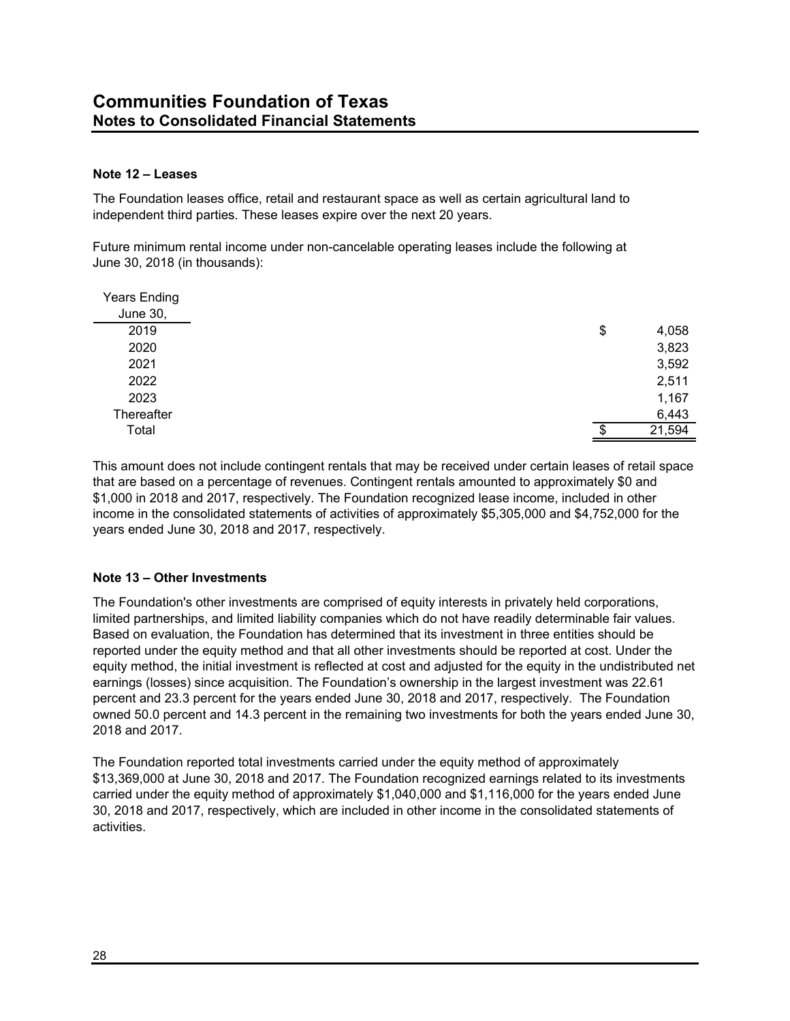## **Note 12 – Leases**

The Foundation leases office, retail and restaurant space as well as certain agricultural land to independent third parties. These leases expire over the next 20 years.

Future minimum rental income under non-cancelable operating leases include the following at June 30, 2018 (in thousands):

| <b>Years Ending</b> |    |        |
|---------------------|----|--------|
| <b>June 30,</b>     |    |        |
| 2019                | \$ | 4,058  |
| 2020                |    | 3,823  |
| 2021                |    | 3,592  |
| 2022                |    | 2,511  |
| 2023                |    | 1,167  |
| Thereafter          |    | 6,443  |
| Total               | S  | 21,594 |
|                     |    |        |

This amount does not include contingent rentals that may be received under certain leases of retail space that are based on a percentage of revenues. Contingent rentals amounted to approximately \$0 and \$1,000 in 2018 and 2017, respectively. The Foundation recognized lease income, included in other income in the consolidated statements of activities of approximately \$5,305,000 and \$4,752,000 for the years ended June 30, 2018 and 2017, respectively.

## **Note 13 – Other Investments**

The Foundation's other investments are comprised of equity interests in privately held corporations, limited partnerships, and limited liability companies which do not have readily determinable fair values. Based on evaluation, the Foundation has determined that its investment in three entities should be reported under the equity method and that all other investments should be reported at cost. Under the equity method, the initial investment is reflected at cost and adjusted for the equity in the undistributed net earnings (losses) since acquisition. The Foundation's ownership in the largest investment was 22.61 percent and 23.3 percent for the years ended June 30, 2018 and 2017, respectively. The Foundation owned 50.0 percent and 14.3 percent in the remaining two investments for both the years ended June 30, 2018 and 2017.

The Foundation reported total investments carried under the equity method of approximately \$13,369,000 at June 30, 2018 and 2017. The Foundation recognized earnings related to its investments carried under the equity method of approximately \$1,040,000 and \$1,116,000 for the years ended June 30, 2018 and 2017, respectively, which are included in other income in the consolidated statements of activities.